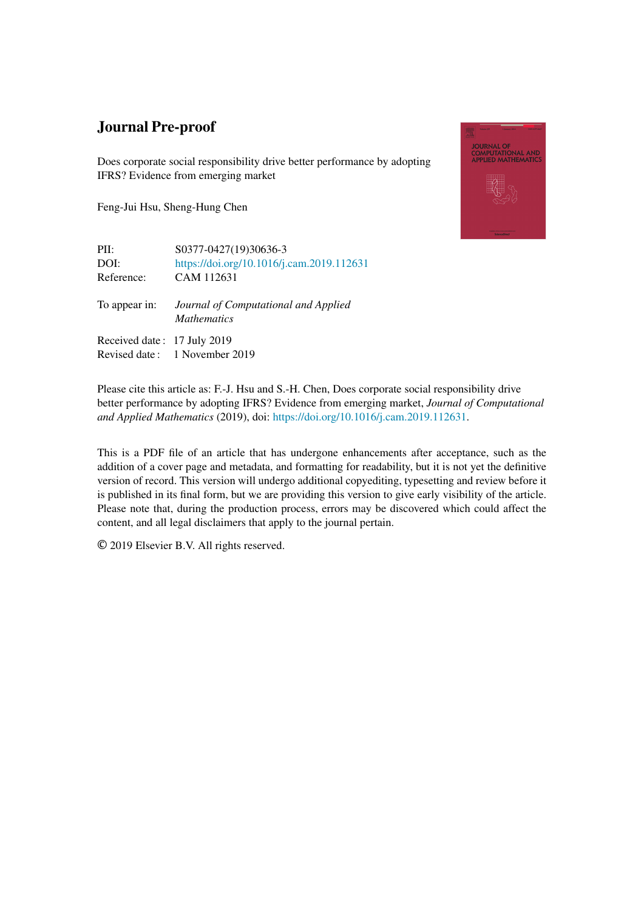## Journal Pre-proof

Does corporate social responsibility drive better performance by adopting IFRS? Evidence from emerging market

Feng-Jui Hsu, Sheng-Hung Chen



PII: S0377-0427(19)30636-3 DOI: <https://doi.org/10.1016/j.cam.2019.112631> Reference: CAM 112631

To appear in: *Journal of Computational and Applied Mathematics*

Received date : 17 July 2019 Revised date : 1 November 2019

Please cite this article as: F.-J. Hsu and S.-H. Chen, Does corporate social responsibility drive better performance by adopting IFRS? Evidence from emerging market, *Journal of Computational and Applied Mathematics* (2019), doi: <https://doi.org/10.1016/j.cam.2019.112631>.

This is a PDF file of an article that has undergone enhancements after acceptance, such as the addition of a cover page and metadata, and formatting for readability, but it is not yet the definitive version of record. This version will undergo additional copyediting, typesetting and review before it is published in its final form, but we are providing this version to give early visibility of the article. Please note that, during the production process, errors may be discovered which could affect the content, and all legal disclaimers that apply to the journal pertain.

© 2019 Elsevier B.V. All rights reserved.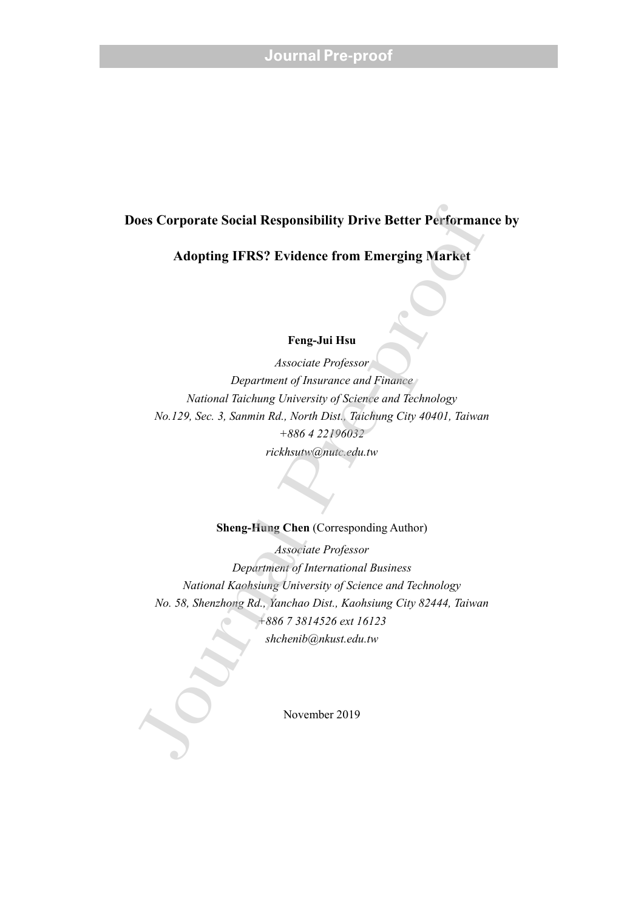## **Does Corporate Social Responsibility Drive Better Performance by**

**Adopting IFRS? Evidence from Emerging Market** 

### **Feng-Jui Hsu**

*Associate Professor Department of Insurance and Finance National Taichung University of Science and Technology No.129, Sec. 3, Sanmin Rd., North Dist., Taichung City 40401, Taiwan +886 4 22196032 rickhsutw@nutc.edu.tw* 

### **Sheng-Hung Chen** (Corresponding Author)

*Associate Professor Department of International Business National Kaohsiung University of Science and Technology No. 58, Shenzhong Rd., Yanchao Dist., Kaohsiung City 82444, Taiwan +886 7 3814526 ext 16123 shchenib@nkust.edu.tw*  **Does Corporate Social Responsibility Drive Better Performant Adopting IFRS?** Evidence from Emerging Market<br> **Eng-Jui Hsu**<br> *Associate Professor*<br> *Peng-Jui Hsu<br>
Associate Professor*<br> *National Tatelumg University of Scien* 

November 2019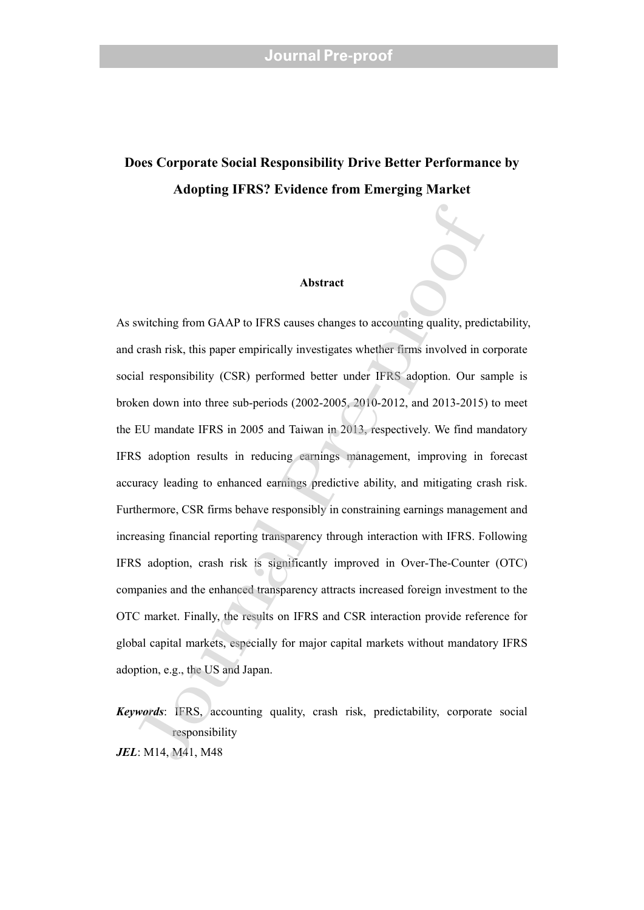## **Does Corporate Social Responsibility Drive Better Performance by Adopting IFRS? Evidence from Emerging Market**

#### **Abstract**

As switching from GAAP to IFRS causes changes to accounting quality, predictability, and crash risk, this paper empirically investigates whether firms involved in corporate social responsibility (CSR) performed better under IFRS adoption. Our sample is broken down into three sub-periods (2002-2005, 2010-2012, and 2013-2015) to meet the EU mandate IFRS in 2005 and Taiwan in 2013, respectively. We find mandatory IFRS adoption results in reducing earnings management, improving in forecast accuracy leading to enhanced earnings predictive ability, and mitigating crash risk. Furthermore, CSR firms behave responsibly in constraining earnings management and increasing financial reporting transparency through interaction with IFRS. Following IFRS adoption, crash risk is significantly improved in Over-The-Counter (OTC) companies and the enhanced transparency attracts increased foreign investment to the OTC market. Finally, the results on IFRS and CSR interaction provide reference for global capital markets, especially for major capital markets without mandatory IFRS adoption, e.g., the US and Japan. Abstract<br>
Substract<br>
Substract<br>
Substract<br>
Substract<br>
Substract<br>
For eash risk, this paper empirically investigates whether firms involved in c<br>
and responsibility (CSR) performed better under IFRS adoption. Our s<br>
such ab

*Keywords*: IFRS, accounting quality, crash risk, predictability, corporate social responsibility *JEL*: M14, M41, M48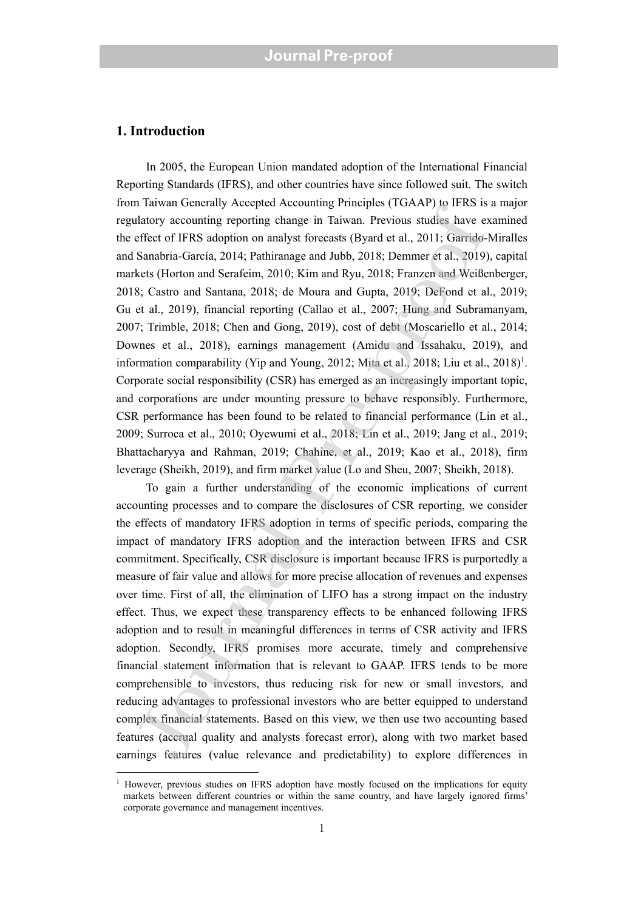#### **1. Introduction**

In 2005, the European Union mandated adoption of the International Financial Reporting Standards (IFRS), and other countries have since followed suit. The switch from Taiwan Generally Accepted Accounting Principles (TGAAP) to IFRS is a major regulatory accounting reporting change in Taiwan. Previous studies have examined the effect of IFRS adoption on analyst forecasts (Byard et al., 2011; Garrido-Miralles and Sanabria-García, 2014; Pathiranage and Jubb, 2018; Demmer et al., 2019), capital markets (Horton and Serafeim, 2010; Kim and Ryu, 2018; Franzen and Weißenberger, 2018; Castro and Santana, 2018; de Moura and Gupta, 2019; DeFond et al., 2019; Gu et al., 2019), financial reporting (Callao et al., 2007; Hung and Subramanyam, 2007; Trimble, 2018; Chen and Gong, 2019), cost of debt (Moscariello et al., 2014; Downes et al., 2018), earnings management (Amidu and Issahaku, 2019), and information comparability (Yip and Young, 2012; Mita et al., 2018; Liu et al.,  $2018$ <sup>1</sup>. Corporate social responsibility (CSR) has emerged as an increasingly important topic, and corporations are under mounting pressure to behave responsibly. Furthermore, CSR performance has been found to be related to financial performance (Lin et al., 2009; Surroca et al., 2010; Oyewumi et al., 2018; Lin et al., 2019; Jang et al., 2019; Bhattacharyya and Rahman, 2019; Chahine, et al., 2019; Kao et al., 2018), firm leverage (Sheikh, 2019), and firm market value (Lo and Sheu, 2007; Sheikh, 2018).

To gain a further understanding of the economic implications of current accounting processes and to compare the disclosures of CSR reporting, we consider the effects of mandatory IFRS adoption in terms of specific periods, comparing the impact of mandatory IFRS adoption and the interaction between IFRS and CSR commitment. Specifically, CSR disclosure is important because IFRS is purportedly a measure of fair value and allows for more precise allocation of revenues and expenses over time. First of all, the elimination of LIFO has a strong impact on the industry effect. Thus, we expect these transparency effects to be enhanced following IFRS adoption and to result in meaningful differences in terms of CSR activity and IFRS adoption. Secondly, IFRS promises more accurate, timely and comprehensive financial statement information that is relevant to GAAP. IFRS tends to be more comprehensible to investors, thus reducing risk for new or small investors, and reducing advantages to professional investors who are better equipped to understand complex financial statements. Based on this view, we then use two accounting based features (accrual quality and analysts forecast error), along with two market based earnings features (value relevance and predictability) to explore differences in Transvar Octaclary Precipical Accolounting Trinky is 10.3 and and any calculate the effect of IFRS adoption on analyst forecasts (Byard et al., 2011; Garrido-Sanabria-Garcia, 2014; Pathrianage and Jubb, 2018; Denmer et al.

<sup>&</sup>lt;sup>1</sup> However, previous studies on IFRS adoption have mostly focused on the implications for equity markets between different countries or within the same country, and have largely ignored firms' corporate governance and management incentives.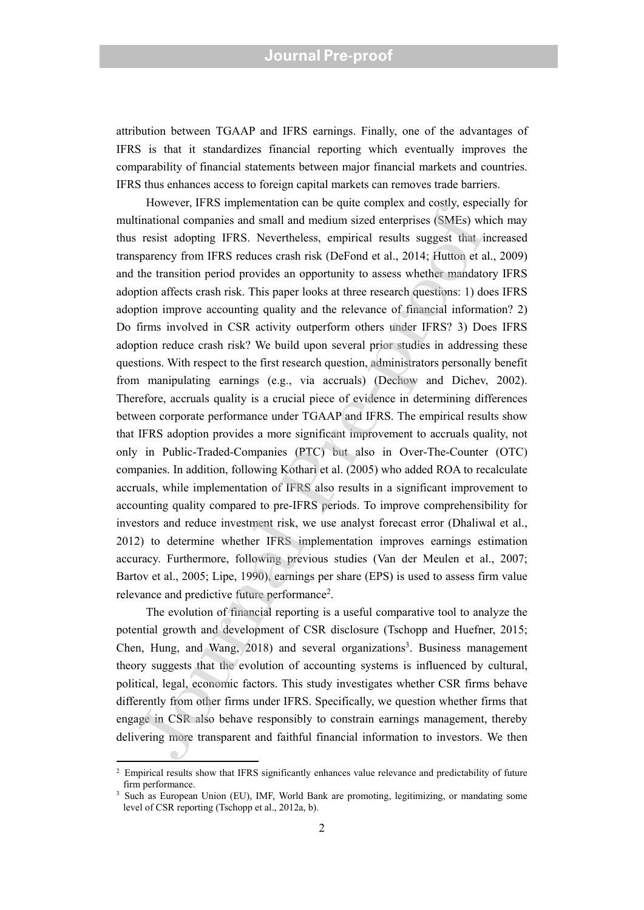attribution between TGAAP and IFRS earnings. Finally, one of the advantages of IFRS is that it standardizes financial reporting which eventually improves the comparability of financial statements between major financial markets and countries. IFRS thus enhances access to foreign capital markets can removes trade barriers.

However, IFRS implementation can be quite complex and costly, especially for multinational companies and small and medium sized enterprises (SMEs) which may thus resist adopting IFRS. Nevertheless, empirical results suggest that increased transparency from IFRS reduces crash risk (DeFond et al., 2014; Hutton et al., 2009) and the transition period provides an opportunity to assess whether mandatory IFRS adoption affects crash risk. This paper looks at three research questions: 1) does IFRS adoption improve accounting quality and the relevance of financial information? 2) Do firms involved in CSR activity outperform others under IFRS? 3) Does IFRS adoption reduce crash risk? We build upon several prior studies in addressing these questions. With respect to the first research question, administrators personally benefit from manipulating earnings (e.g., via accruals) (Dechow and Dichev, 2002). Therefore, accruals quality is a crucial piece of evidence in determining differences between corporate performance under TGAAP and IFRS. The empirical results show that IFRS adoption provides a more significant improvement to accruals quality, not only in Public-Traded-Companies (PTC) but also in Over-The-Counter (OTC) companies. In addition, following Kothari et al. (2005) who added ROA to recalculate accruals, while implementation of IFRS also results in a significant improvement to accounting quality compared to pre-IFRS periods. To improve comprehensibility for investors and reduce investment risk, we use analyst forecast error (Dhaliwal et al., 2012) to determine whether IFRS implementation improves earnings estimation accuracy. Furthermore, following previous studies (Van der Meulen et al., 2007; Bartov et al., 2005; Lipe, 1990), earnings per share (EPS) is used to assess firm value relevance and predictive future performance<sup>2</sup>. The<br>structure and consume sand and medium sized enterprises (SMEs) whis<br>rinational companies and small and medium sized enterprises (SMEs) wh<br>resist adopting IFRS. Nevertheless, empirical results suggest that in<br>sparency f

The evolution of financial reporting is a useful comparative tool to analyze the potential growth and development of CSR disclosure (Tschopp and Huefner, 2015; Chen, Hung, and Wang,  $2018$ ) and several organizations<sup>3</sup>. Business management theory suggests that the evolution of accounting systems is influenced by cultural, political, legal, economic factors. This study investigates whether CSR firms behave differently from other firms under IFRS. Specifically, we question whether firms that engage in CSR also behave responsibly to constrain earnings management, thereby delivering more transparent and faithful financial information to investors. We then

<sup>&</sup>lt;sup>2</sup> Empirical results show that IFRS significantly enhances value relevance and predictability of future firm performance.

<sup>3</sup> Such as European Union (EU), IMF, World Bank are promoting, legitimizing, or mandating some level of CSR reporting (Tschopp et al., 2012a, b).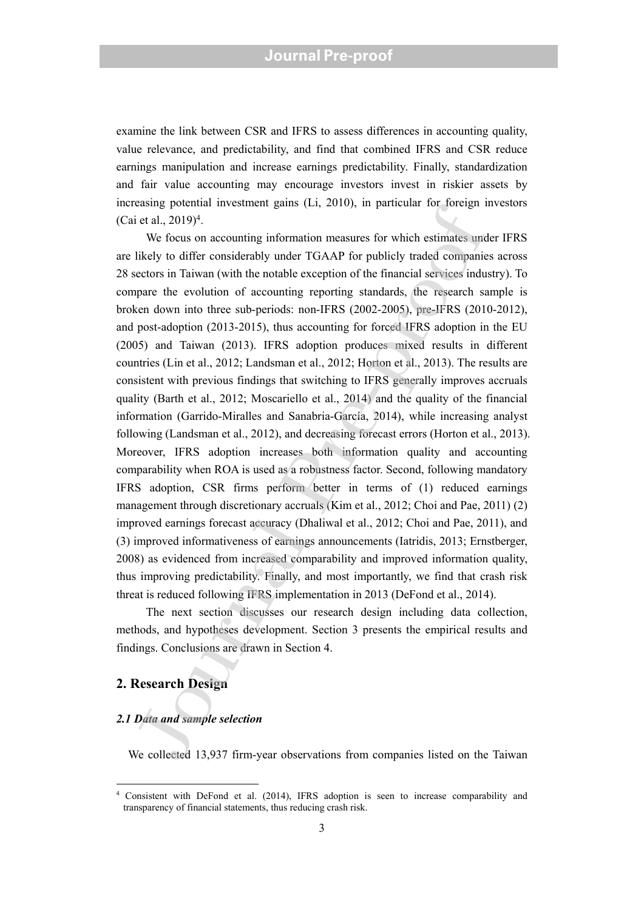examine the link between CSR and IFRS to assess differences in accounting quality, value relevance, and predictability, and find that combined IFRS and CSR reduce earnings manipulation and increase earnings predictability. Finally, standardization and fair value accounting may encourage investors invest in riskier assets by increasing potential investment gains (Li, 2010), in particular for foreign investors (Cai et al.,  $2019$ <sup>4</sup>.

We focus on accounting information measures for which estimates under IFRS are likely to differ considerably under TGAAP for publicly traded companies across 28 sectors in Taiwan (with the notable exception of the financial services industry). To compare the evolution of accounting reporting standards, the research sample is broken down into three sub-periods: non-IFRS (2002-2005), pre-IFRS (2010-2012), and post-adoption (2013-2015), thus accounting for forced IFRS adoption in the EU (2005) and Taiwan (2013). IFRS adoption produces mixed results in different countries (Lin et al., 2012; Landsman et al., 2012; Horton et al., 2013). The results are consistent with previous findings that switching to IFRS generally improves accruals quality (Barth et al., 2012; Moscariello et al., 2014) and the quality of the financial information (Garrido-Miralles and Sanabria-García, 2014), while increasing analyst following (Landsman et al., 2012), and decreasing forecast errors (Horton et al., 2013). Moreover, IFRS adoption increases both information quality and accounting comparability when ROA is used as a robustness factor. Second, following mandatory IFRS adoption, CSR firms perform better in terms of (1) reduced earnings management through discretionary accruals (Kim et al., 2012; Choi and Pae, 2011) (2) improved earnings forecast accuracy (Dhaliwal et al., 2012; Choi and Pae, 2011), and (3) improved informativeness of earnings announcements (Iatridis, 2013; Ernstberger, 2008) as evidenced from increased comparability and improved information quality, thus improving predictability. Finally, and most importantly, we find that crash risk threat is reduced following IFRS implementation in 2013 (DeFond et al., 2014). essay potental metallical galaxy (Lr, 2010), in patricular for foreign 1<br>is et al., 2019)<sup>4</sup>. We focus on accounting information measures for which estimates untilely to differ considerably under TGAAP for publicly traded

The next section discusses our research design including data collection, methods, and hypotheses development. Section 3 presents the empirical results and findings. Conclusions are drawn in Section 4.

### **2. Research Design**

#### *2.1 Data and sample selection*

We collected 13,937 firm-year observations from companies listed on the Taiwan

<sup>4</sup> Consistent with DeFond et al. (2014), IFRS adoption is seen to increase comparability and transparency of financial statements, thus reducing crash risk.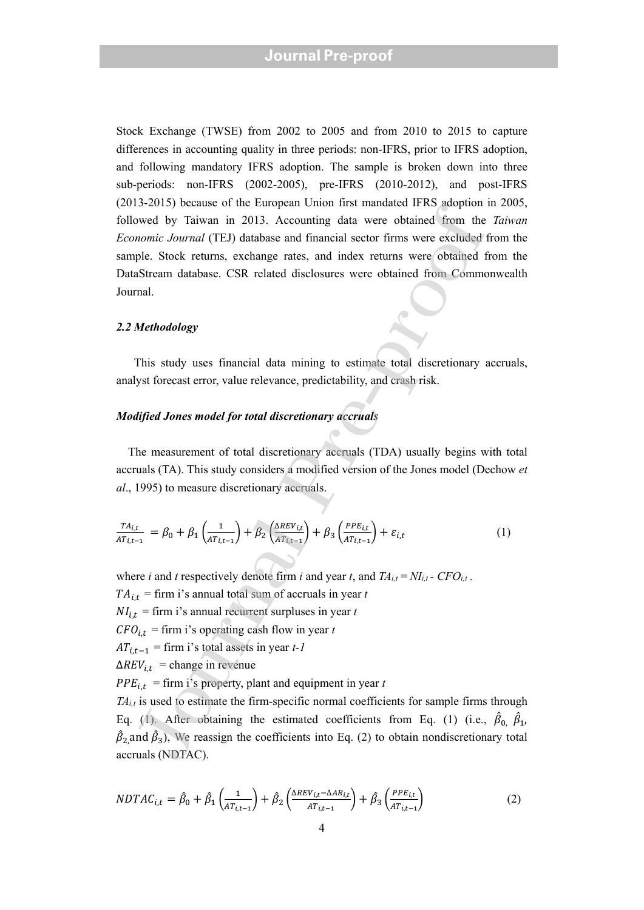Stock Exchange (TWSE) from 2002 to 2005 and from 2010 to 2015 to capture differences in accounting quality in three periods: non-IFRS, prior to IFRS adoption, and following mandatory IFRS adoption. The sample is broken down into three sub-periods: non-IFRS (2002-2005), pre-IFRS (2010-2012), and post-IFRS (2013-2015) because of the European Union first mandated IFRS adoption in 2005, followed by Taiwan in 2013. Accounting data were obtained from the *Taiwan Economic Journal* (TEJ) database and financial sector firms were excluded from the sample. Stock returns, exchange rates, and index returns were obtained from the DataStream database. CSR related disclosures were obtained from Commonwealth Journal.

#### *2.2 Methodology*

 This study uses financial data mining to estimate total discretionary accruals, analyst forecast error, value relevance, predictability, and crash risk.

#### *Modified Jones model for total discretionary accruals*

The measurement of total discretionary accruals (TDA) usually begins with total accruals (TA). This study considers a modified version of the Jones model (Dechow *et al*., 1995) to measure discretionary accruals.

$$
\frac{TA_{i,t}}{AT_{i,t-1}} = \beta_0 + \beta_1 \left(\frac{1}{AT_{i,t-1}}\right) + \beta_2 \left(\frac{\Delta REV_{i,t}}{AT_{i,t-1}}\right) + \beta_3 \left(\frac{PPE_{i,t}}{AT_{i,t-1}}\right) + \varepsilon_{i,t}
$$
(1)

where *i* and *t* respectively denote firm *i* and year *t*, and  $TA_{i,t} = NI_{i,t}$  -  $CFO_{i,t}$ .  $TA_{i,t}$  = firm i's annual total sum of accruals in year *t*  $NI_{i,t}$  = firm i's annual recurrent surpluses in year *t*  $CFO_{i,t}$  = firm i's operating cash flow in year *t*  $AT_{i,t-1}$  = firm i's total assets in year *t-1*  $\Delta REV_{i,t}$  = change in revenue  $PPE_{i,t}$  = firm i's property, plant and equipment in year *t* Journal of Taiwan in 2013. Accounting data were obtained from the<br>overage by Taiwan in 2013. Accounting data were obtained from the<br>*nomic Journal* (TEJ) database and financial sector firms were excluded<br>ple. Stock return

*TAi,t* is used to estimate the firm-specific normal coefficients for sample firms through Eq. (1). After obtaining the estimated coefficients from Eq. (1) (i.e.,  $\hat{\beta}_0$ ,  $\hat{\beta}_1$ ,  $\hat{\beta}_2$  and  $\hat{\beta}_3$ ), We reassign the coefficients into Eq. (2) to obtain nondiscretionary total accruals (NDTAC).

$$
NDTAC_{i,t} = \hat{\beta}_0 + \hat{\beta}_1 \left( \frac{1}{AT_{i,t-1}} \right) + \hat{\beta}_2 \left( \frac{\Delta REV_{i,t} - \Delta AR_{i,t}}{AT_{i,t-1}} \right) + \hat{\beta}_3 \left( \frac{PPE_{i,t}}{AT_{i,t-1}} \right)
$$
(2)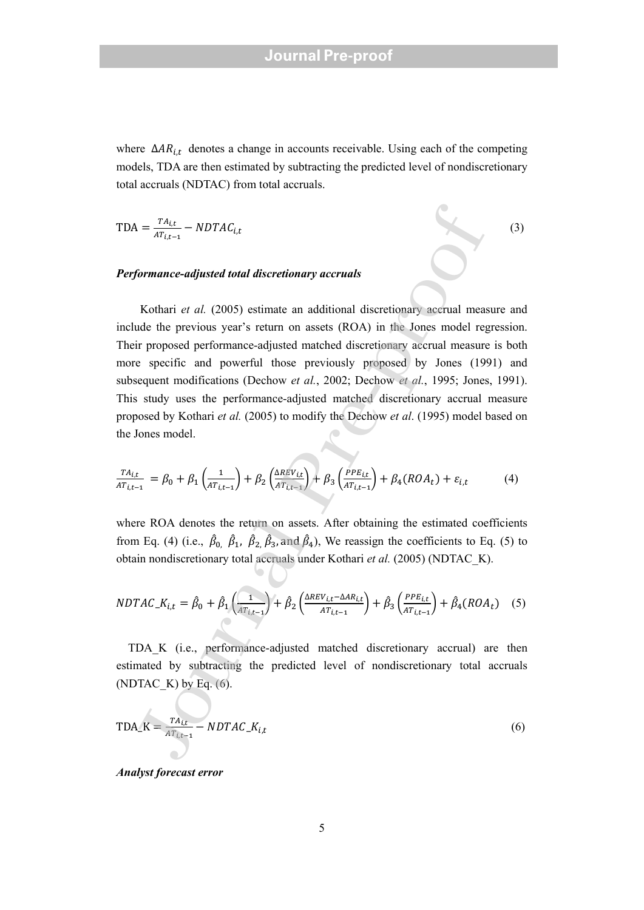where  $\Delta AR_{i,t}$  denotes a change in accounts receivable. Using each of the competing models, TDA are then estimated by subtracting the predicted level of nondiscretionary total accruals (NDTAC) from total accruals.

$$
TDA = \frac{TA_{i,t}}{AT_{i,t-1}} - NDTAC_{i,t}
$$
\n(3)

#### *Performance-adjusted total discretionary accruals*

Kothari *et al.* (2005) estimate an additional discretionary accrual measure and include the previous year's return on assets (ROA) in the Jones model regression. Their proposed performance-adjusted matched discretionary accrual measure is both more specific and powerful those previously proposed by Jones (1991) and subsequent modifications (Dechow *et al.*, 2002; Dechow *et al.*, 1995; Jones, 1991). This study uses the performance-adjusted matched discretionary accrual measure proposed by Kothari *et al.* (2005) to modify the Dechow *et al*. (1995) model based on the Jones model. A =  $\frac{T_{A_{\ell L}}}{T_{\ell L+1}} - NDTAC_{i,t}$ <br>formance-adjusted total discretionary accruals<br>Kothari et al. (2005) estimate an additional discretionary accrual means<br>the previous year's return on assets (ROA) in the Jones media regio

$$
\frac{TA_{i,t}}{AT_{i,t-1}} = \beta_0 + \beta_1 \left(\frac{1}{AT_{i,t-1}}\right) + \beta_2 \left(\frac{\Delta REV_{i,t}}{AT_{i,t-1}}\right) + \beta_3 \left(\frac{PPE_{i,t}}{AT_{i,t-1}}\right) + \beta_4 (ROA_t) + \varepsilon_{i,t}
$$
(4)

where ROA denotes the return on assets. After obtaining the estimated coefficients from Eq. (4) (i.e.,  $\hat{\beta}_0$ ,  $\hat{\beta}_1$ ,  $\hat{\beta}_2$ ,  $\hat{\beta}_3$ , and  $\hat{\beta}_4$ ), We reassign the coefficients to Eq. (5) to obtain nondiscretionary total accruals under Kothari *et al.* (2005) (NDTAC\_K).

$$
NDTAC_{i,t} = \hat{\beta}_0 + \hat{\beta}_1 \left( \frac{1}{AT_{i,t-1}} \right) + \hat{\beta}_2 \left( \frac{\Delta REV_{i,t} - \Delta AR_{i,t}}{AT_{i,t-1}} \right) + \hat{\beta}_3 \left( \frac{PPE_{i,t}}{AT_{i,t-1}} \right) + \hat{\beta}_4 (ROA_t) \quad (5)
$$

 TDA\_K (i.e., performance-adjusted matched discretionary accrual) are then estimated by subtracting the predicted level of nondiscretionary total accruals (NDTAC  $K$ ) by Eq. (6).

$$
TDA_K = \frac{TA_{i,t}}{AT_{i,t-1}} - NDTAC_K_{i,t}
$$
\n(6)

*Analyst forecast error*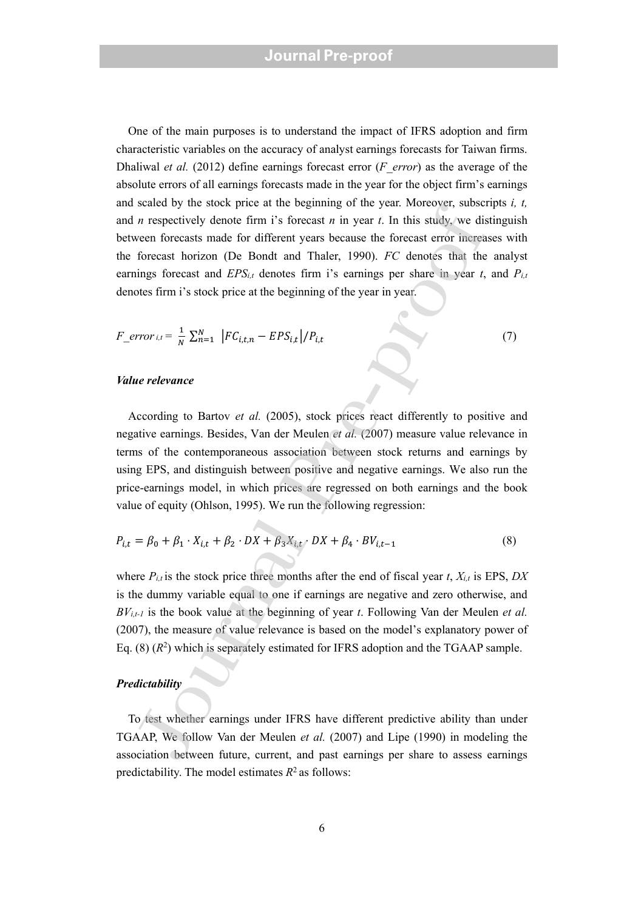One of the main purposes is to understand the impact of IFRS adoption and firm characteristic variables on the accuracy of analyst earnings forecasts for Taiwan firms. Dhaliwal *et al.* (2012) define earnings forecast error (*F\_error*) as the average of the absolute errors of all earnings forecasts made in the year for the object firm's earnings and scaled by the stock price at the beginning of the year. Moreover, subscripts *i, t,* and *n* respectively denote firm i's forecast *n* in year *t*. In this study, we distinguish between forecasts made for different years because the forecast error increases with the forecast horizon (De Bondt and Thaler, 1990). *FC* denotes that the analyst earnings forecast and *EPSi,t* denotes firm i's earnings per share in year *t*, and *Pi,t* denotes firm i's stock price at the beginning of the year in year.

$$
F\_error_{i,t} = \frac{1}{N} \sum_{n=1}^{N} |FC_{i,t,n} - EPS_{i,t}| / P_{i,t}
$$
\n
$$
(7)
$$

#### *Value relevance*

According to Bartov *et al.* (2005), stock prices react differently to positive and negative earnings. Besides, Van der Meulen *et al.* (2007) measure value relevance in terms of the contemporaneous association between stock returns and earnings by using EPS, and distinguish between positive and negative earnings. We also run the price-earnings model, in which prices are regressed on both earnings and the book value of equity (Ohlson, 1995). We run the following regression: stated or<br>
a respectively denote firm it's forecast *n* in year: . And the study, so<br>
a respectively denote firm it's forecast *n* in year *t*. In this study, we dis<br>
forecast horizon (De Bondt and Thaler, 1990). *FC* den

$$
P_{i,t} = \beta_0 + \beta_1 \cdot X_{i,t} + \beta_2 \cdot DX + \beta_3 X_{i,t} \cdot DX + \beta_4 \cdot BV_{i,t-1}
$$
 (8)

where  $P_{i,t}$  is the stock price three months after the end of fiscal year *t*,  $X_{i,t}$  is EPS, *DX* is the dummy variable equal to one if earnings are negative and zero otherwise, and *BVi,t-1* is the book value at the beginning of year *t*. Following Van der Meulen *et al.* (2007), the measure of value relevance is based on the model's explanatory power of Eq.  $(8)$   $(R^2)$  which is separately estimated for IFRS adoption and the TGAAP sample.

#### *Predictability*

To test whether earnings under IFRS have different predictive ability than under TGAAP, We follow Van der Meulen *et al.* (2007) and Lipe (1990) in modeling the association between future, current, and past earnings per share to assess earnings predictability. The model estimates  $R^2$  as follows: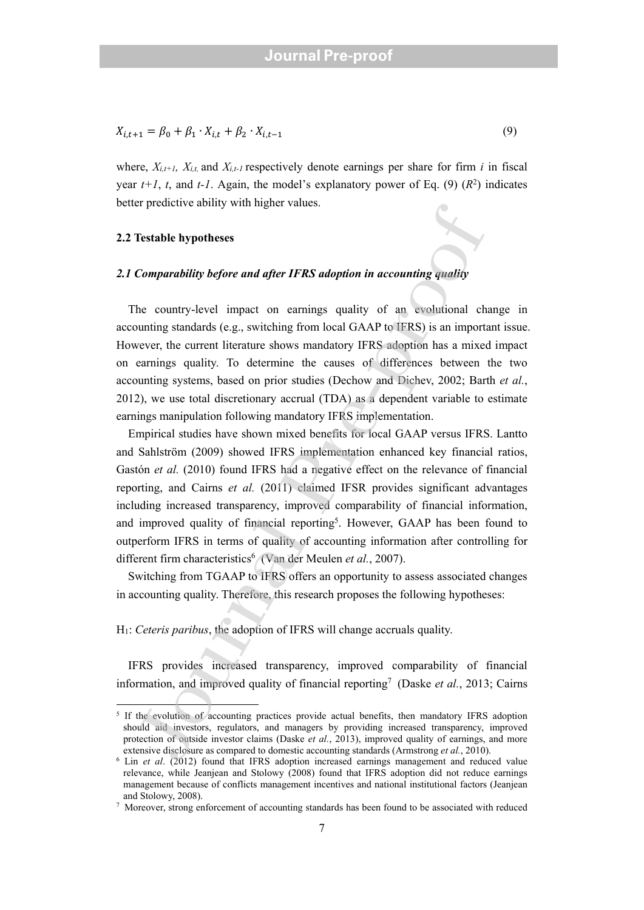$$
X_{i,t+1} = \beta_0 + \beta_1 \cdot X_{i,t} + \beta_2 \cdot X_{i,t-1}
$$
\n(9)

where,  $X_{i,t+1}$ ,  $X_{i,t}$  and  $X_{i,t-1}$  respectively denote earnings per share for firm *i* in fiscal year  $t+1$ ,  $t$ , and  $t-1$ . Again, the model's explanatory power of Eq. (9)  $(R^2)$  indicates better predictive ability with higher values.

#### **2.2 Testable hypotheses**

#### *2.1 Comparability before and after IFRS adoption in accounting quality*

 The country-level impact on earnings quality of an evolutional change in accounting standards (e.g., switching from local GAAP to IFRS) is an important issue. However, the current literature shows mandatory IFRS adoption has a mixed impact on earnings quality. To determine the causes of differences between the two accounting systems, based on prior studies (Dechow and Dichev, 2002; Barth *et al.*, 2012), we use total discretionary accrual (TDA) as a dependent variable to estimate earnings manipulation following mandatory IFRS implementation.

 Empirical studies have shown mixed benefits for local GAAP versus IFRS. Lantto and Sahlström (2009) showed IFRS implementation enhanced key financial ratios, Gastón *et al.* (2010) found IFRS had a negative effect on the relevance of financial reporting, and Cairns *et al.* (2011) claimed IFSR provides significant advantages including increased transparency, improved comparability of financial information, and improved quality of financial reporting5. However, GAAP has been found to outperform IFRS in terms of quality of accounting information after controlling for different firm characteristics<sup>6</sup> (Van der Meulen *et al.*, 2007). Testable hypotheses<br> **Comparability before and after IFRS adoption in accounting quality<br>
Comparability before and after IFRS adoption in accounting quality<br>
the country-level impact on earnings quality of an evolutional** 

Switching from TGAAP to IFRS offers an opportunity to assess associated changes in accounting quality. Therefore, this research proposes the following hypotheses:

H1: *Ceteris paribus*, the adoption of IFRS will change accruals quality.

IFRS provides increased transparency, improved comparability of financial information, and improved quality of financial reporting<sup>7</sup> (Daske et al., 2013; Cairns

<sup>&</sup>lt;sup>5</sup> If the evolution of accounting practices provide actual benefits, then mandatory IFRS adoption should aid investors, regulators, and managers by providing increased transparency, improved protection of outside investor claims (Daske *et al.*, 2013), improved quality of earnings, and more extensive disclosure as compared to domestic accounting standards (Armstrong et al., 2010).

<sup>&</sup>lt;sup>6</sup> Lin et al. (2012) found that IFRS adoption increased earnings management and reduced value relevance, while Jeanjean and Stolowy (2008) found that IFRS adoption did not reduce earnings management because of conflicts management incentives and national institutional factors (Jeanjean and Stolowy, 2008).

<sup>7</sup> Moreover, strong enforcement of accounting standards has been found to be associated with reduced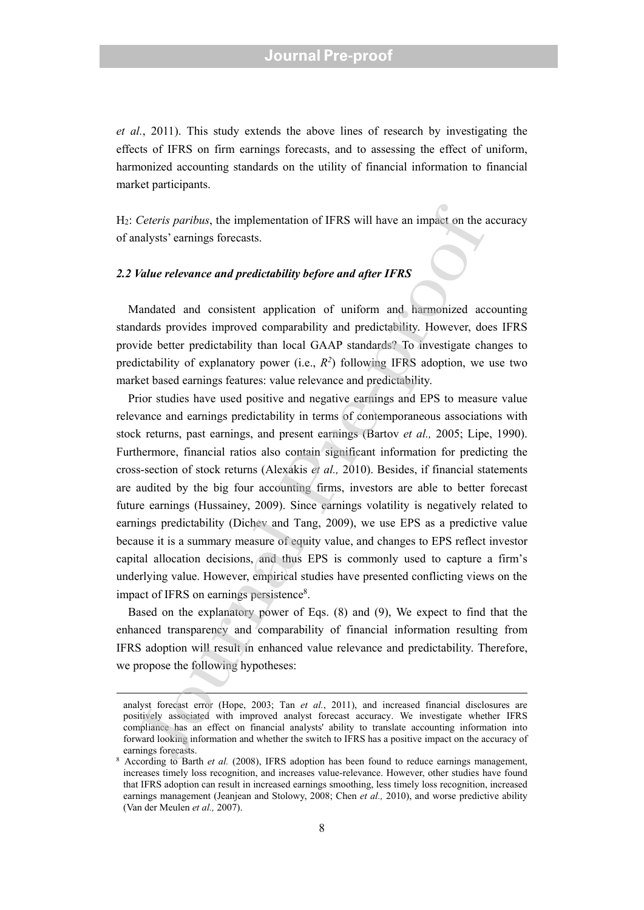*et al.*, 2011). This study extends the above lines of research by investigating the effects of IFRS on firm earnings forecasts, and to assessing the effect of uniform, harmonized accounting standards on the utility of financial information to financial market participants.

H2: *Ceteris paribus*, the implementation of IFRS will have an impact on the accuracy of analysts' earnings forecasts.

#### *2.2 Value relevance and predictability before and after IFRS*

 Mandated and consistent application of uniform and harmonized accounting standards provides improved comparability and predictability. However, does IFRS provide better predictability than local GAAP standards? To investigate changes to predictability of explanatory power (i.e.,  $R^2$ ) following IFRS adoption, we use two market based earnings features: value relevance and predictability.

Prior studies have used positive and negative earnings and EPS to measure value relevance and earnings predictability in terms of contemporaneous associations with stock returns, past earnings, and present earnings (Bartov *et al.,* 2005; Lipe, 1990). Furthermore, financial ratios also contain significant information for predicting the cross-section of stock returns (Alexakis *et al.,* 2010). Besides, if financial statements are audited by the big four accounting firms, investors are able to better forecast future earnings (Hussainey, 2009). Since earnings volatility is negatively related to earnings predictability (Dichev and Tang, 2009), we use EPS as a predictive value because it is a summary measure of equity value, and changes to EPS reflect investor capital allocation decisions, and thus EPS is commonly used to capture a firm's underlying value. However, empirical studies have presented conflicting views on the impact of IFRS on earnings persistence<sup>8</sup>. Ceteris paribus, the implementation of IFRS will have an impact on the analysts' earnings forecasts.<br>
Value relevance and predictability before and after IFRS<br>
Value relevance and predictability before and after IFRS<br>
Ana

Based on the explanatory power of Eqs. (8) and (9), We expect to find that the enhanced transparency and comparability of financial information resulting from IFRS adoption will result in enhanced value relevance and predictability. Therefore, we propose the following hypotheses:

analyst forecast error (Hope, 2003; Tan *et al.*, 2011), and increased financial disclosures are positively associated with improved analyst forecast accuracy. We investigate whether IFRS compliance has an effect on financial analysts' ability to translate accounting information into forward looking information and whether the switch to IFRS has a positive impact on the accuracy of earnings forecasts.

<sup>&</sup>lt;sup>8</sup> According to Barth *et al.* (2008), IFRS adoption has been found to reduce earnings management, increases timely loss recognition, and increases value-relevance. However, other studies have found that IFRS adoption can result in increased earnings smoothing, less timely loss recognition, increased earnings management (Jeanjean and Stolowy, 2008; Chen *et al.,* 2010), and worse predictive ability (Van der Meulen *et al.,* 2007).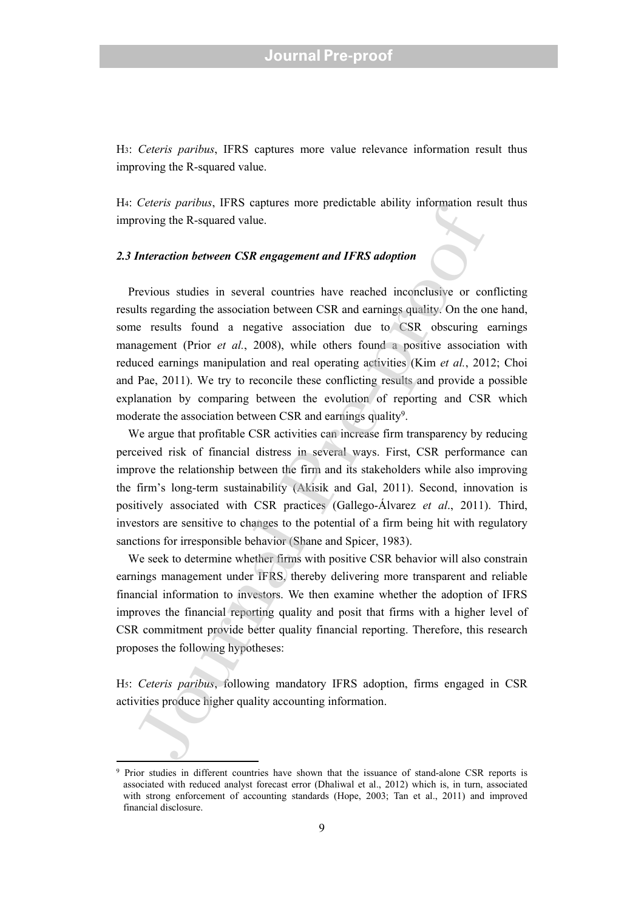H3: *Ceteris paribus*, IFRS captures more value relevance information result thus improving the R-squared value.

H4: *Ceteris paribus*, IFRS captures more predictable ability information result thus improving the R-squared value.

#### *2.3 Interaction between CSR engagement and IFRS adoption*

Previous studies in several countries have reached inconclusive or conflicting results regarding the association between CSR and earnings quality. On the one hand, some results found a negative association due to CSR obscuring earnings management (Prior *et al.*, 2008), while others found a positive association with reduced earnings manipulation and real operating activities (Kim *et al.*, 2012; Choi and Pae, 2011). We try to reconcile these conflicting results and provide a possible explanation by comparing between the evolution of reporting and CSR which moderate the association between CSR and earnings quality<sup>9</sup>. **EVALUATION** IN TAS vaparatos and FRS depthenon and FRS depthenon and the resolution of the Requared value.<br>
Interaction between CSR engagement and IFRS adoption<br>
The Resquared value.<br>
Interaction between CSR engagement a

We argue that profitable CSR activities can increase firm transparency by reducing perceived risk of financial distress in several ways. First, CSR performance can improve the relationship between the firm and its stakeholders while also improving the firm's long-term sustainability (Akisik and Gal, 2011). Second, innovation is positively associated with CSR practices (Gallego-Álvarez *et al*., 2011). Third, investors are sensitive to changes to the potential of a firm being hit with regulatory sanctions for irresponsible behavior (Shane and Spicer, 1983).

 We seek to determine whether firms with positive CSR behavior will also constrain earnings management under IFRS, thereby delivering more transparent and reliable financial information to investors. We then examine whether the adoption of IFRS improves the financial reporting quality and posit that firms with a higher level of CSR commitment provide better quality financial reporting. Therefore, this research proposes the following hypotheses:

H5: *Ceteris paribus*, following mandatory IFRS adoption, firms engaged in CSR activities produce higher quality accounting information.

<sup>9</sup> Prior studies in different countries have shown that the issuance of stand-alone CSR reports is associated with reduced analyst forecast error (Dhaliwal et al., 2012) which is, in turn, associated with strong enforcement of accounting standards (Hope, 2003; Tan et al., 2011) and improved financial disclosure.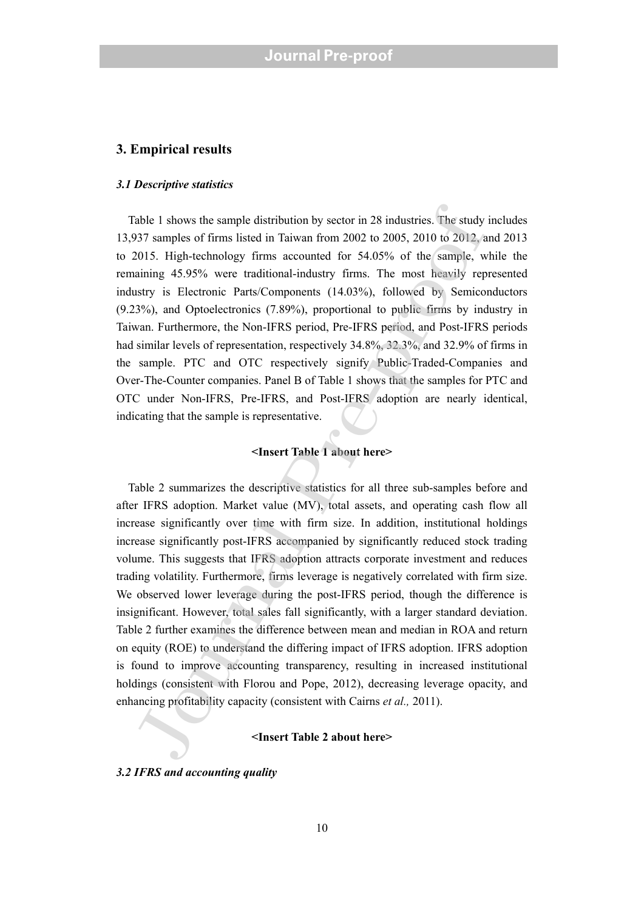#### **3. Empirical results**

#### *3.1 Descriptive statistics*

 Table 1 shows the sample distribution by sector in 28 industries. The study includes 13,937 samples of firms listed in Taiwan from 2002 to 2005, 2010 to 2012, and 2013 to 2015. High-technology firms accounted for 54.05% of the sample, while the remaining 45.95% were traditional-industry firms. The most heavily represented industry is Electronic Parts/Components (14.03%), followed by Semiconductors (9.23%), and Optoelectronics (7.89%), proportional to public firms by industry in Taiwan. Furthermore, the Non-IFRS period, Pre-IFRS period, and Post-IFRS periods had similar levels of representation, respectively 34.8%, 32.3%, and 32.9% of firms in the sample. PTC and OTC respectively signify Public-Traded-Companies and Over-The-Counter companies. Panel B of Table 1 shows that the samples for PTC and OTC under Non-IFRS, Pre-IFRS, and Post-IFRS adoption are nearly identical, indicating that the sample is representative.

#### **<Insert Table 1 about here>**

 Table 2 summarizes the descriptive statistics for all three sub-samples before and after IFRS adoption. Market value (MV), total assets, and operating cash flow all increase significantly over time with firm size. In addition, institutional holdings increase significantly post-IFRS accompanied by significantly reduced stock trading volume. This suggests that IFRS adoption attracts corporate investment and reduces trading volatility. Furthermore, firms leverage is negatively correlated with firm size. We observed lower leverage during the post-IFRS period, though the difference is insignificant. However, total sales fall significantly, with a larger standard deviation. Table 2 further examines the difference between mean and median in ROA and return on equity (ROE) to understand the differing impact of IFRS adoption. IFRS adoption is found to improve accounting transparency, resulting in increased institutional holdings (consistent with Florou and Pope, 2012), decreasing leverage opacity, and enhancing profitability capacity (consistent with Cairns *et al.,* 2011). iable 1 shows the sample distribution by sector in 28 industries. The study<br>377 samples of firms listed in Taiwan from 2002 to 2005, 2010 to 2012, a<br>2015. High-technology firms accounted for 54.05% of the sample, was<br>aini

#### **<Insert Table 2 about here>**

*3.2 IFRS and accounting quality*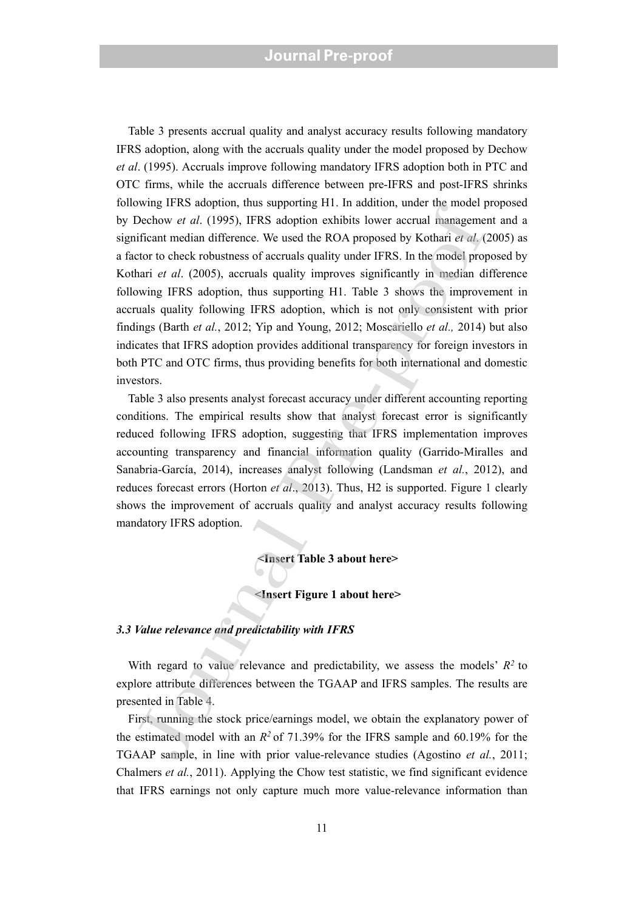Table 3 presents accrual quality and analyst accuracy results following mandatory IFRS adoption, along with the accruals quality under the model proposed by Dechow *et al*. (1995). Accruals improve following mandatory IFRS adoption both in PTC and OTC firms, while the accruals difference between pre-IFRS and post-IFRS shrinks following IFRS adoption, thus supporting H1. In addition, under the model proposed by Dechow *et al*. (1995), IFRS adoption exhibits lower accrual management and a significant median difference. We used the ROA proposed by Kothari *et al*. (2005) as a factor to check robustness of accruals quality under IFRS. In the model proposed by Kothari *et al*. (2005), accruals quality improves significantly in median difference following IFRS adoption, thus supporting H1. Table 3 shows the improvement in accruals quality following IFRS adoption, which is not only consistent with prior findings (Barth *et al.*, 2012; Yip and Young, 2012; Moscariello *et al.,* 2014) but also indicates that IFRS adoption provides additional transparency for foreign investors in both PTC and OTC firms, thus providing benefits for both international and domestic investors. What it as a codour, use supporting 11: an actuation, there in the color and the same of the scale of the ROA proposed by Kothari er al. (1995), IFRS adoption exhibits lower accual manageme<br>inficant median difference. We

Table 3 also presents analyst forecast accuracy under different accounting reporting conditions. The empirical results show that analyst forecast error is significantly reduced following IFRS adoption, suggesting that IFRS implementation improves accounting transparency and financial information quality (Garrido-Miralles and Sanabria-García, 2014), increases analyst following (Landsman *et al.*, 2012), and reduces forecast errors (Horton *et al*., 2013). Thus, H2 is supported. Figure 1 clearly shows the improvement of accruals quality and analyst accuracy results following mandatory IFRS adoption.

**<Insert Table 3 about here>** 

#### **<Insert Figure 1 about here>**

#### *3.3 Value relevance and predictability with IFRS*

 With regard to value relevance and predictability, we assess the models' *R2* to explore attribute differences between the TGAAP and IFRS samples. The results are presented in Table 4.

 First, running the stock price/earnings model, we obtain the explanatory power of the estimated model with an  $R^2$  of 71.39% for the IFRS sample and 60.19% for the TGAAP sample, in line with prior value-relevance studies (Agostino *et al.*, 2011; Chalmers *et al.*, 2011). Applying the Chow test statistic, we find significant evidence that IFRS earnings not only capture much more value-relevance information than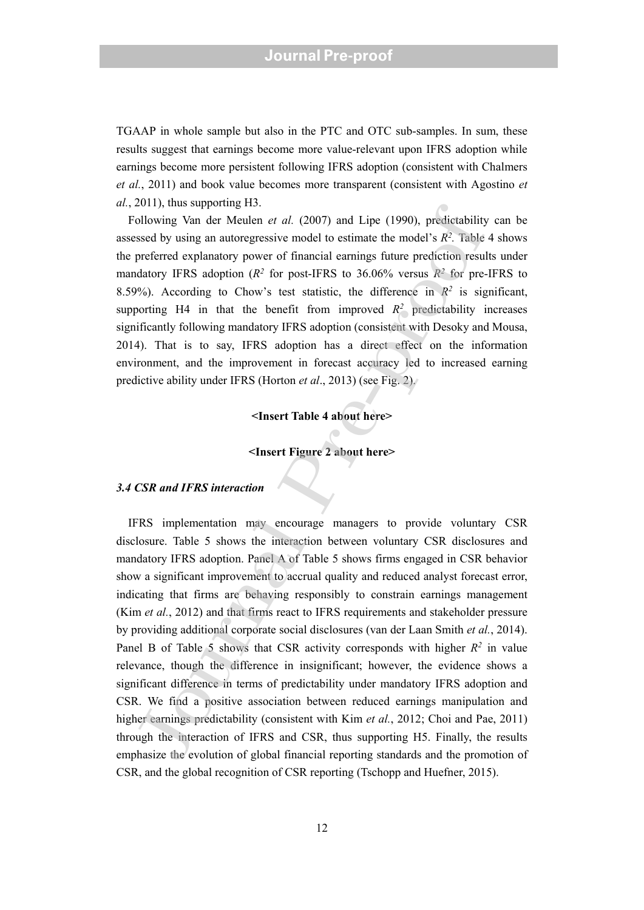TGAAP in whole sample but also in the PTC and OTC sub-samples. In sum, these results suggest that earnings become more value-relevant upon IFRS adoption while earnings become more persistent following IFRS adoption (consistent with Chalmers *et al.*, 2011) and book value becomes more transparent (consistent with Agostino *et al.*, 2011), thus supporting H3.

 Following Van der Meulen *et al.* (2007) and Lipe (1990), predictability can be assessed by using an autoregressive model to estimate the model's  $R^2$ . Table 4 shows the preferred explanatory power of financial earnings future prediction results under mandatory IFRS adoption (*R2* for post-IFRS to 36.06% versus *R2* for pre-IFRS to 8.59%). According to Chow's test statistic, the difference in  $R^2$  is significant, supporting H4 in that the benefit from improved  $R^2$  predictability increases significantly following mandatory IFRS adoption (consistent with Desoky and Mousa, 2014). That is to say, IFRS adoption has a direct effect on the information environment, and the improvement in forecast accuracy led to increased earning predictive ability under IFRS (Horton *et al*., 2013) (see Fig. 2).

#### **<Insert Table 4 about here>**

#### **<Insert Figure 2 about here>**

#### *3.4 CSR and IFRS interaction*

 IFRS implementation may encourage managers to provide voluntary CSR disclosure. Table 5 shows the interaction between voluntary CSR disclosures and mandatory IFRS adoption. Panel A of Table 5 shows firms engaged in CSR behavior show a significant improvement to accrual quality and reduced analyst forecast error, indicating that firms are behaving responsibly to constrain earnings management (Kim *et al.*, 2012) and that firms react to IFRS requirements and stakeholder pressure by providing additional corporate social disclosures (van der Laan Smith *et al.*, 2014). Panel B of Table 5 shows that CSR activity corresponds with higher  $R^2$  in value relevance, though the difference in insignificant; however, the evidence shows a significant difference in terms of predictability under mandatory IFRS adoption and CSR. We find a positive association between reduced earnings manipulation and higher earnings predictability (consistent with Kim *et al.*, 2012; Choi and Pae, 2011) through the interaction of IFRS and CSR, thus supporting H5. Finally, the results emphasize the evolution of global financial reporting standards and the promotion of CSR, and the global recognition o f CSR reporting (Tschopp and Huefner, 2015). 2011), thus supportung 11.<br>
collowing Van der Meulen et al. (2007) and Lipe (1990), predictability<br>
sissed by using an autoregressive model to estimate the model's  $R^2$ . Table<br>
preferred explanatory power of finarial car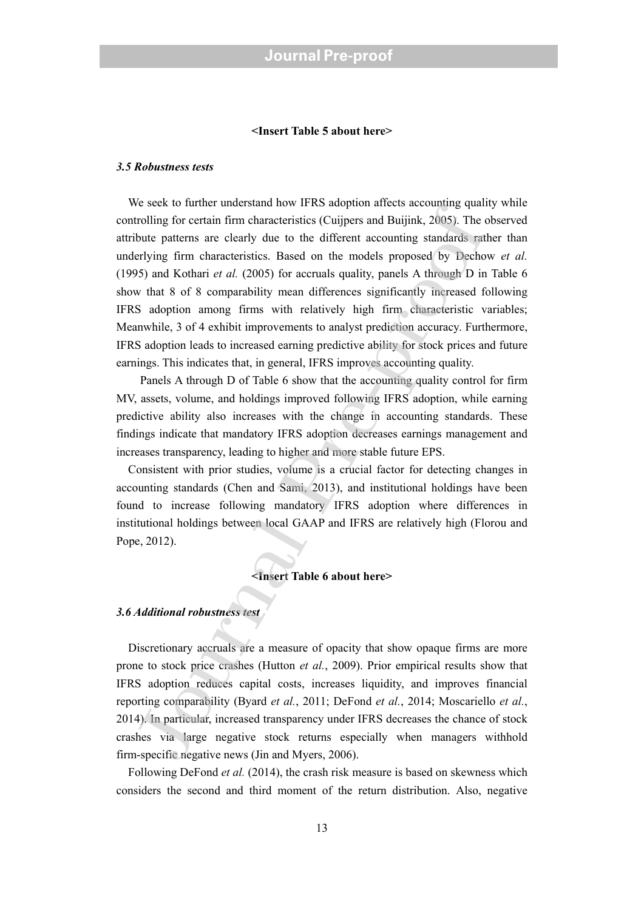#### **<Insert Table 5 about here>**

#### *3.5 Robustness tests*

We seek to further understand how IFRS adoption affects accounting quality while controlling for certain firm characteristics (Cuijpers and Buijink, 2005). The observed attribute patterns are clearly due to the different accounting standards rather than underlying firm characteristics. Based on the models proposed by Dechow *et al.* (1995) and Kothari *et al.* (2005) for accruals quality, panels A through D in Table 6 show that 8 of 8 comparability mean differences significantly increased following IFRS adoption among firms with relatively high firm characteristic variables; Meanwhile, 3 of 4 exhibit improvements to analyst prediction accuracy. Furthermore, IFRS adoption leads to increased earning predictive ability for stock prices and future earnings. This indicates that, in general, IFRS improves accounting quality. is exect to functe monotasian flow at Tr.O. adopton ances accouning quantity exects to function flow retatin firm characteristics (Cuippers and Buijink, 2005). The control both particular are clearly due to the different

Panels A through D of Table 6 show that the accounting quality control for firm MV, assets, volume, and holdings improved following IFRS adoption, while earning predictive ability also increases with the change in accounting standards. These findings indicate that mandatory IFRS adoption decreases earnings management and increases transparency, leading to higher and more stable future EPS.

 Consistent with prior studies, volume is a crucial factor for detecting changes in accounting standards (Chen and Sami, 2013), and institutional holdings have been found to increase following mandatory IFRS adoption where differences in institutional holdings between local GAAP and IFRS are relatively high (Florou and Pope, 2012).

#### **<Insert Table 6 about here>**

#### *3.6 Additional robustness test*

Discretionary accruals are a measure of opacity that show opaque firms are more prone to stock price crashes (Hutton *et al.*, 2009). Prior empirical results show that IFRS adoption reduces capital costs, increases liquidity, and improves financial reporting comparability (Byard *et al.*, 2011; DeFond *et al.*, 2014; Moscariello *et al.*, 2014). In particular, increased transparency under IFRS decreases the chance of stock crashes via large negative stock returns especially when managers withhold firm-specific negative news (Jin and Myers, 2006).

 Following DeFond *et al.* (2014), the crash risk measure is based on skewness which considers the second and third moment of the return distribution. Also, negative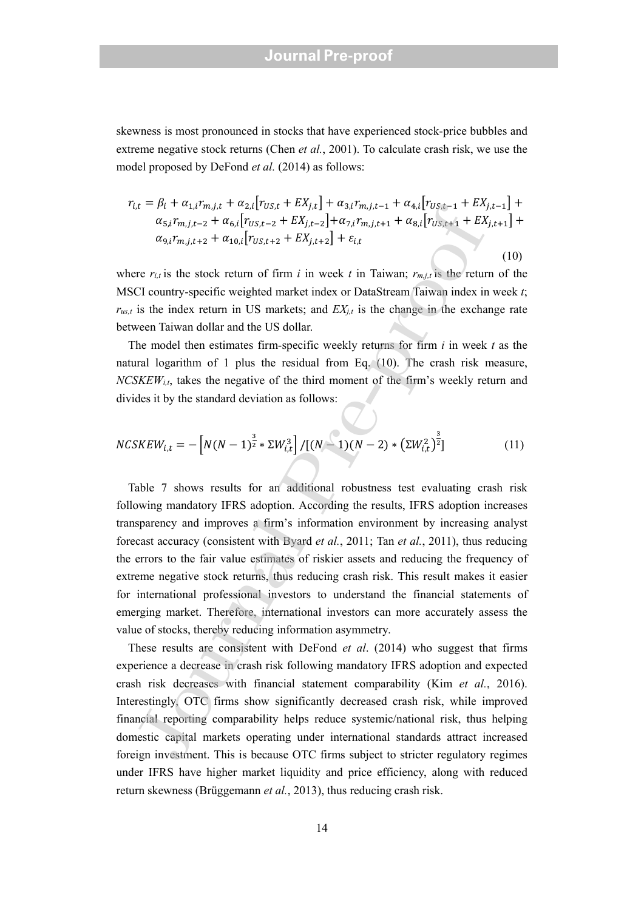skewness is most pronounced in stocks that have experienced stock-price bubbles and extreme negative stock returns (Chen *et al.*, 2001). To calculate crash risk, we use the model proposed by DeFond *et al.* (2014) as follows:

$$
r_{i,t} = \beta_i + \alpha_{1,i} r_{m,j,t} + \alpha_{2,i} [r_{US,t} + EX_{j,t}] + \alpha_{3,i} r_{m,j,t-1} + \alpha_{4,i} [r_{US,t-1} + EX_{j,t-1}] +
$$
  
\n
$$
\alpha_{5,i} r_{m,j,t-2} + \alpha_{6,i} [r_{US,t-2} + EX_{j,t-2}] + \alpha_{7,i} r_{m,j,t+1} + \alpha_{8,i} [r_{US,t+1} + EX_{j,t+1}] +
$$
  
\n
$$
\alpha_{9,i} r_{m,j,t+2} + \alpha_{10,i} [r_{US,t+2} + EX_{j,t+2}] + \varepsilon_{i,t}
$$
\n(10)

where  $r_{i,t}$  is the stock return of firm *i* in week *t* in Taiwan;  $r_{m,j,t}$  is the return of the MSCI country-specific weighted market index or DataStream Taiwan index in week *t*;  $r_{us,t}$  is the index return in US markets; and  $EX_{i,t}$  is the change in the exchange rate between Taiwan dollar and the US dollar.

 The model then estimates firm-specific weekly returns for firm *i* in week *t* as the natural logarithm of 1 plus the residual from Eq. (10). The crash risk measure, *NCSKEWi,t*, takes the negative of the third moment of the firm's weekly return and divides it by the standard deviation as follows:

$$
NCSKEW_{i,t} = -\left[N(N-1)^{\frac{3}{2}} * \Sigma W_{i,t}^3\right] / \left[(N-1)(N-2) * \left(\Sigma W_{i,t}^2\right)^{\frac{3}{2}}\right]
$$
(11)

Table 7 shows results for an additional robustness test evaluating crash risk following mandatory IFRS adoption. According the results, IFRS adoption increases transparency and improves a firm's information environment by increasing analyst forecast accuracy (consistent with Byard *et al.*, 2011; Tan *et al.*, 2011), thus reducing the errors to the fair value estimates of riskier assets and reducing the frequency of extreme negative stock returns, thus reducing crash risk. This result makes it easier for international professional investors to understand the financial statements of emerging market. Therefore, international investors can more accurately assess the value of stocks, thereby reducing information asymmetry.  $\mu_L = \mu_l + u_{kH} \mu_{B} \eta_{L} + u_{kL} \eta_{L} \eta_{S} \mu_{S} + u_{kL} \mu_{S} \mu_{R} + u_{kL} \mu_{R} \mu_{R} \mu_{R} \mu_{R} \mu_{R} \mu_{R}$ <br>  $\sigma_{S_L} \tau_{m_L L+2} + \sigma_{0L} \left[ \Gamma_{0S,R+2} + E X_{J,L-2} \right] + \sigma_{2L} \tau_{m_L L+1} + \sigma_{0L} \left[ \Gamma_{0S,R+1} \right] + E X$ <br>  $\sigma_{0L} \eta_{m_L L+2} + \sigma_{0L} \left[ \Gamma_{0$ 

These results are consistent with DeFond *et al*. (2014) who suggest that firms experience a decrease in crash risk following mandatory IFRS adoption and expected crash risk decreases with financial statement comparability (Kim *et al.*, 2016). Interestingly, OTC firms show significantly decreased crash risk, while improved financial reporting comparability helps reduce systemic/national risk, thus helping domestic capital markets operating under international standards attract increased foreign investment. This is because OTC firms subject to stricter regulatory regimes under IFRS have higher market liquidity and price efficiency, along with reduced return skewness (Brüggemann *et al.*, 2013), thus reducing crash risk.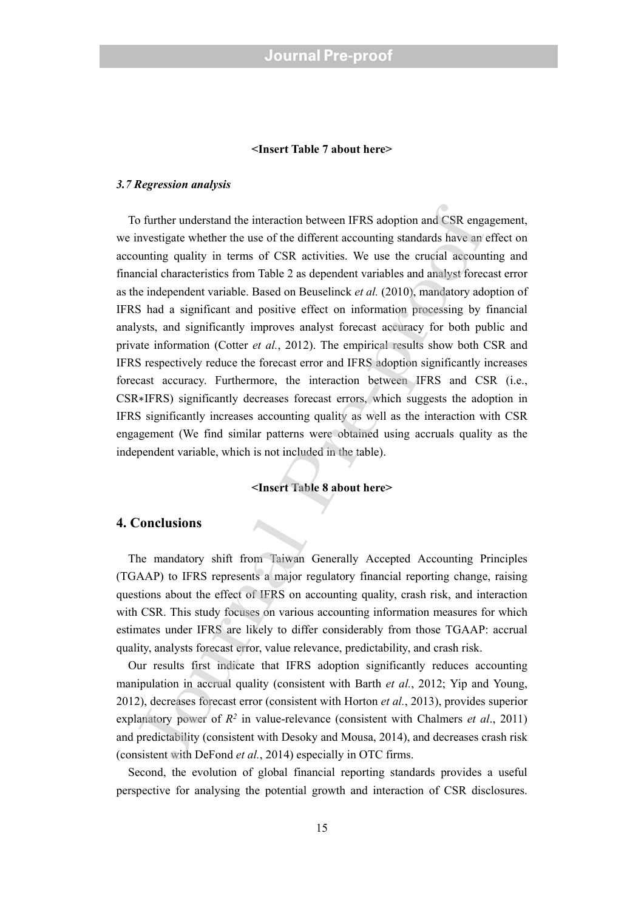#### **<Insert Table 7 about here>**

#### *3.7 Regression analysis*

 To further understand the interaction between IFRS adoption and CSR engagement, we investigate whether the use of the different accounting standards have an effect on accounting quality in terms of CSR activities. We use the crucial accounting and financial characteristics from Table 2 as dependent variables and analyst forecast error as the independent variable. Based on Beuselinck *et al.* (2010), mandatory adoption of IFRS had a significant and positive effect on information processing by financial analysts, and significantly improves analyst forecast accuracy for both public and private information (Cotter *et al.*, 2012). The empirical results show both CSR and IFRS respectively reduce the forecast error and IFRS adoption significantly increases forecast accuracy. Furthermore, the interaction between IFRS and CSR (i.e., CSR∗IFRS) significantly decreases forecast errors, which suggests the adoption in IFRS significantly increases accounting quality as well as the interaction with CSR engagement (We find similar patterns were obtained using accruals quality as the independent variable, which is not included in the table). is o further understand the interaction between IFRS adoption and CSR enginvestigate whether the use of the different accounting standards have an comming quality in terms of CSR activities. We use the crucial accounting

#### **<Insert Table 8 about here>**

#### **4. Conclusions**

The mandatory shift from Taiwan Generally Accepted Accounting Principles (TGAAP) to IFRS represents a major regulatory financial reporting change, raising questions about the effect of IFRS on accounting quality, crash risk, and interaction with CSR. This study focuses on various accounting information measures for which estimates under IFRS are likely to differ considerably from those TGAAP: accrual quality, analysts forecast error, value relevance, predictability, and crash risk.

Our results first indicate that IFRS adoption significantly reduces accounting manipulation in accrual quality (consistent with Barth *et al.*, 2012; Yip and Young, 2012), decreases forecast error (consistent with Horton *et al.*, 2013), provides superior explanatory power of  $R^2$  in value-relevance (consistent with Chalmers *et al.*, 2011) and predictability (consistent with Desoky and Mousa, 2014), and decreases crash risk (consistent with DeFond *et al.*, 2014) especially in OTC firms.

Second, the evolution of global financial reporting standards provides a useful perspective for analysing the potential growth and interaction of CSR disclosures.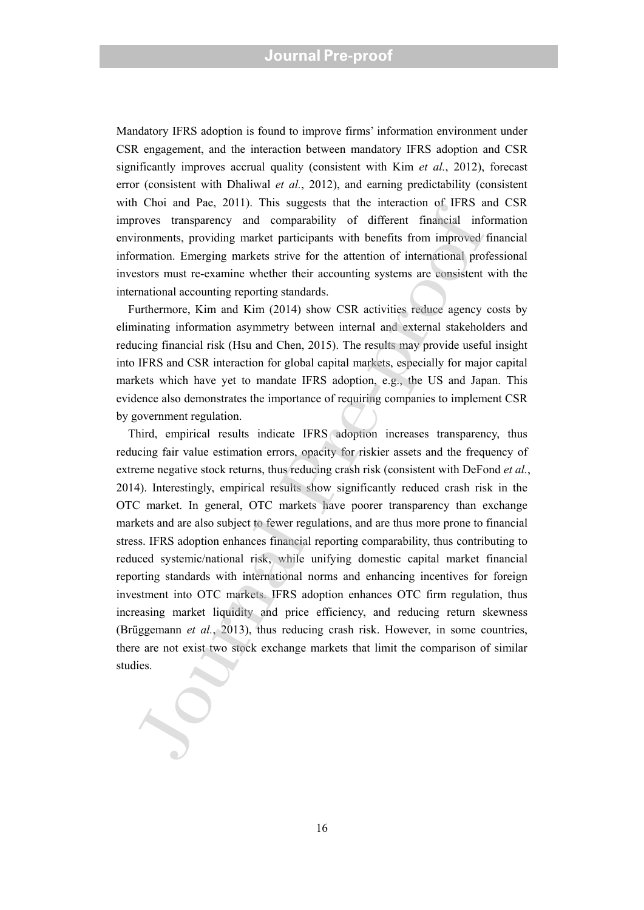Mandatory IFRS adoption is found to improve firms' information environment under CSR engagement, and the interaction between mandatory IFRS adoption and CSR significantly improves accrual quality (consistent with Kim *et al.*, 2012), forecast error (consistent with Dhaliwal *et al.*, 2012), and earning predictability (consistent with Choi and Pae, 2011). This suggests that the interaction of IFRS and CSR improves transparency and comparability of different financial information environments, providing market participants with benefits from improved financial information. Emerging markets strive for the attention of international professional investors must re-examine whether their accounting systems are consistent with the international accounting reporting standards.

Furthermore, Kim and Kim (2014) show CSR activities reduce agency costs by eliminating information asymmetry between internal and external stakeholders and reducing financial risk (Hsu and Chen, 2015). The results may provide useful insight into IFRS and CSR interaction for global capital markets, especially for major capital markets which have yet to mandate IFRS adoption, e.g., the US and Japan. This evidence also demonstrates the importance of requiring companies to implement CSR by government regulation.

 Third, empirical results indicate IFRS adoption increases transparency, thus reducing fair value estimation errors, opacity for riskier assets and the frequency of extreme negative stock returns, thus reducing crash risk (consistent with DeFond *et al.*, 2014). Interestingly, empirical results show significantly reduced crash risk in the OTC market. In general, OTC markets have poorer transparency than exchange markets and are also subject to fewer regulations, and are thus more prone to financial stress. IFRS adoption enhances financial reporting comparability, thus contributing to reduced systemic/national risk, while unifying domestic capital market financial reporting standards with international norms and enhancing incentives for foreign investment into OTC markets. IFRS adoption enhances OTC firm regulation, thus increasing market liquidity and price efficiency, and reducing return skewness (Brüggemann *et al.*, 2013), thus reducing crash risk. However, in some countries, there are not exist two stock exchange markets that limit the comparison of similar wat Cata, 2013). This suggests that the metastical of these transmitted in the metastical information of the stem<br>improves transparency and comparability of different financial information. Emerging markets strive for the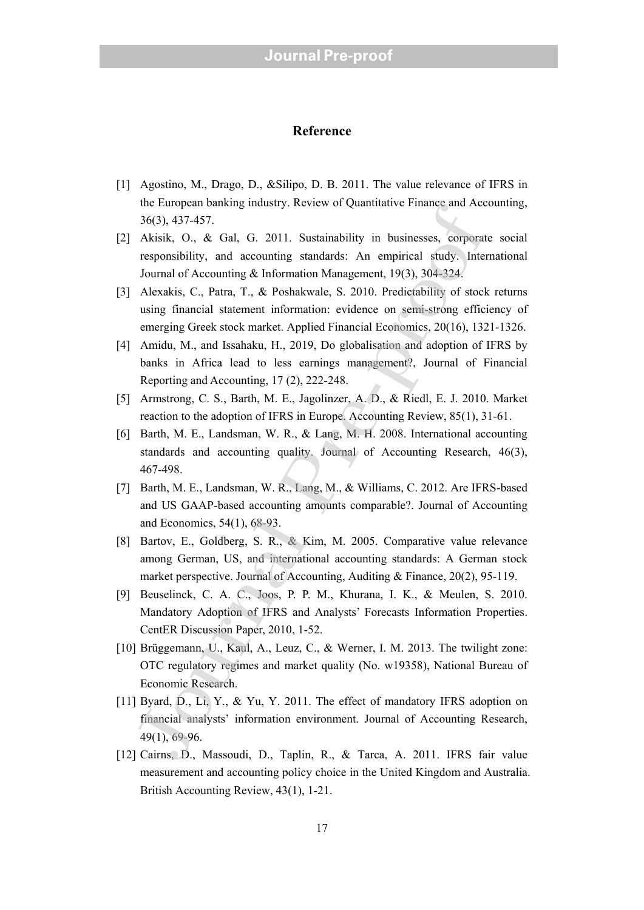#### **Reference**

- [1] Agostino, M., Drago, D., &Silipo, D. B. 2011. The value relevance of IFRS in the European banking industry. Review of Quantitative Finance and Accounting, 36(3), 437-457.
- [2] Akisik, O., & Gal, G. 2011. Sustainability in businesses, corporate social responsibility, and accounting standards: An empirical study. International Journal of Accounting & Information Management, 19(3), 304-324. ut Luorepean onatang mousny. Kevisw or Quantitative Finance and Acc<br>36(3), 437-457.<br>Akisik, O., & Gal, G. 2011. Sustainability in businesses, corporat<br>responsibility, and accounting standards: An empirical study. Inter-<br>Jo
- [3] Alexakis, C., Patra, T., & Poshakwale, S. 2010. Predictability of stock returns using financial statement information: evidence on semi-strong efficiency of emerging Greek stock market. Applied Financial Economics, 20(16), 1321-1326.
- [4] Amidu, M., and Issahaku, H., 2019, Do globalisation and adoption of IFRS by banks in Africa lead to less earnings management?, Journal of Financial Reporting and Accounting, 17 (2), 222-248.
- [5] Armstrong, C. S., Barth, M. E., Jagolinzer, A. D., & Riedl, E. J. 2010. Market reaction to the adoption of IFRS in Europe. Accounting Review, 85(1), 31-61.
- [6] Barth, M. E., Landsman, W. R., & Lang, M. H. 2008. International accounting standards and accounting quality. Journal of Accounting Research, 46(3), 467-498.
- [7] Barth, M. E., Landsman, W. R., Lang, M., & Williams, C. 2012. Are IFRS-based and US GAAP-based accounting amounts comparable?. Journal of Accounting and Economics, 54(1), 68-93.
- [8] Bartov, E., Goldberg, S. R., & Kim, M. 2005. Comparative value relevance among German, US, and international accounting standards: A German stock market perspective. Journal of Accounting, Auditing & Finance, 20(2), 95-119.
- [9] Beuselinck, C. A. C., Joos, P. P. M., Khurana, I. K., & Meulen, S. 2010. Mandatory Adoption of IFRS and Analysts' Forecasts Information Properties. CentER Discussion Paper, 2010, 1-52.
- [10] Brüggemann, U., Kaul, A., Leuz, C., & Werner, I. M. 2013. The twilight zone: OTC regulatory regimes and market quality (No. w19358), National Bureau of Economic Research.
- [11] Byard, D., Li, Y., & Yu, Y. 2011. The effect of mandatory IFRS adoption on financial analysts' information environment. Journal of Accounting Research, 49(1), 69-96.
- [12] Cairns, D., Massoudi, D., Taplin, R., & Tarca, A. 2011. IFRS fair value measurement and accounting policy choice in the United Kingdom and Australia. British Accounting Review, 43(1), 1-21.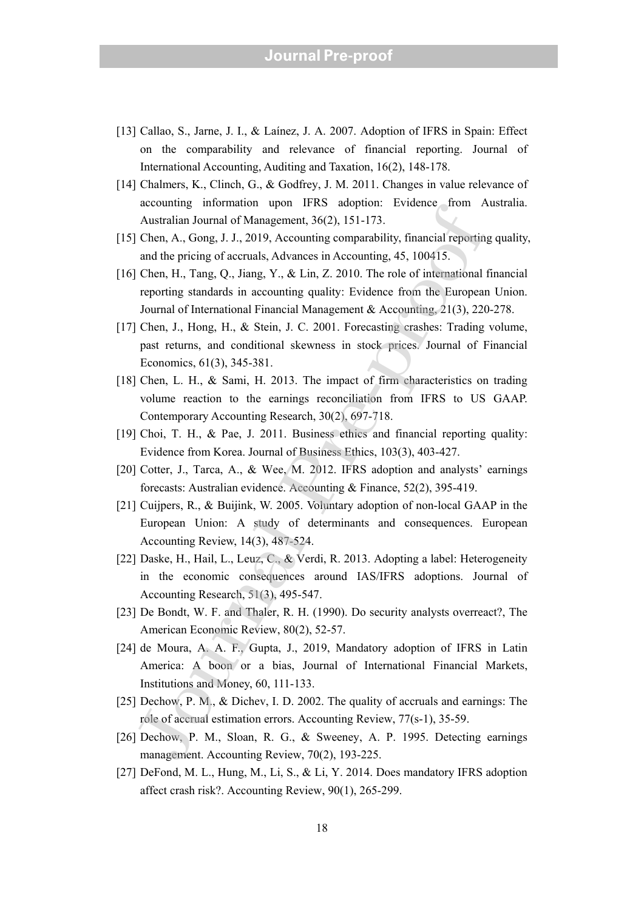- [13] Callao, S., Jarne, J. I., & Laínez, J. A. 2007. Adoption of IFRS in Spain: Effect on the comparability and relevance of financial reporting. Journal of International Accounting, Auditing and Taxation, 16(2), 148-178.
- [14] Chalmers, K., Clinch, G., & Godfrey, J. M. 2011. Changes in value relevance of accounting information upon IFRS adoption: Evidence from Australia. Australian Journal of Management, 36(2), 151-173.
- [15] Chen, A., Gong, J. J., 2019, Accounting comparability, financial reporting quality, and the pricing of accruals, Advances in Accounting, 45, 100415.
- [16] Chen, H., Tang, Q., Jiang, Y., & Lin, Z. 2010. The role of international financial reporting standards in accounting quality: Evidence from the European Union. Journal of International Financial Management & Accounting, 21(3), 220-278. actionality and the pricinal of Mangement, 36(2), 151-173.<br>
Australian Journal of Management, 36(2), 151-173.<br>
Chen, A., Gong, J. J., 2019, Accounting comparability, financial reporting<br>
and the pricing of accruals, Advanc
- [17] Chen, J., Hong, H., & Stein, J. C. 2001. Forecasting crashes: Trading volume, past returns, and conditional skewness in stock prices. Journal of Financial Economics, 61(3), 345-381.
- [18] Chen, L. H., & Sami, H. 2013. The impact of firm characteristics on trading volume reaction to the earnings reconciliation from IFRS to US GAAP. Contemporary Accounting Research, 30(2), 697-718.
- [19] Choi, T. H., & Pae, J. 2011. Business ethics and financial reporting quality: Evidence from Korea. Journal of Business Ethics, 103(3), 403-427.
- [20] Cotter, J., Tarca, A., & Wee, M. 2012. IFRS adoption and analysts' earnings forecasts: Australian evidence. Accounting & Finance, 52(2), 395-419.
- [21] Cuijpers, R., & Buijink, W. 2005. Voluntary adoption of non-local GAAP in the European Union: A study of determinants and consequences. European Accounting Review, 14(3), 487-524.
- [22] Daske, H., Hail, L., Leuz, C., & Verdi, R. 2013. Adopting a label: Heterogeneity in the economic consequences around IAS/IFRS adoptions. Journal of Accounting Research, 51(3), 495-547.
- [23] De Bondt, W. F. and Thaler, R. H. (1990). Do security analysts overreact?, The American Economic Review, 80(2), 52-57.
- [24] de Moura, A. A. F., Gupta, J., 2019, Mandatory adoption of IFRS in Latin America: A boon or a bias, Journal of International Financial Markets, Institutions and Money, 60, 111-133.
- [25] Dechow, P. M., & Dichev, I. D. 2002. The quality of accruals and earnings: The role of accrual estimation errors. Accounting Review, 77(s-1), 35-59.
- [26] Dechow, P. M., Sloan, R. G., & Sweeney, A. P. 1995. Detecting earnings management. Accounting Review, 70(2), 193-225.
- [27] DeFond, M. L., Hung, M., Li, S., & Li, Y. 2014. Does mandatory IFRS adoption affect crash risk?. Accounting Review, 90(1), 265-299.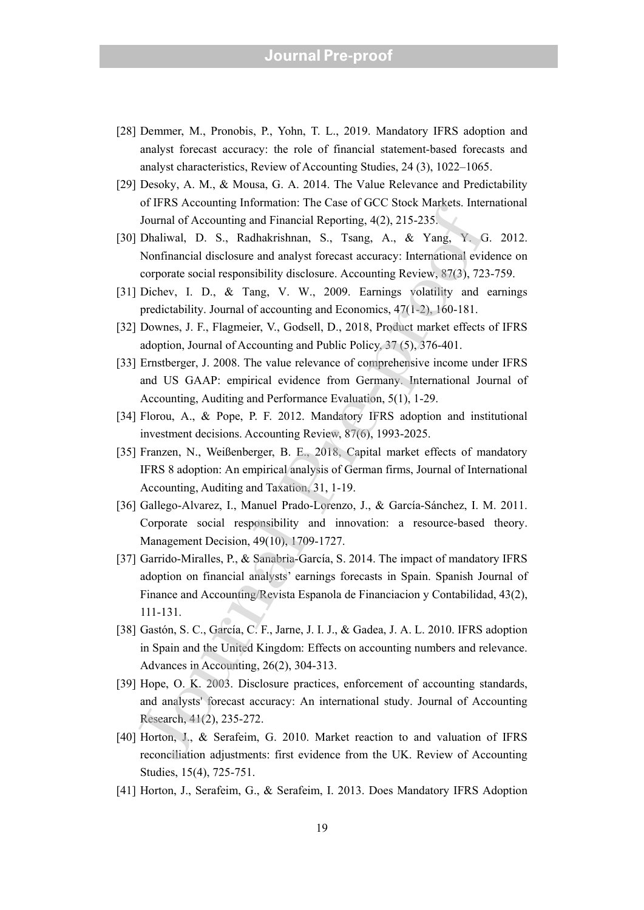## **Journal Pre-proof**

- [28] Demmer, M., Pronobis, P., Yohn, T. L., 2019. Mandatory IFRS adoption and analyst forecast accuracy: the role of financial statement-based forecasts and analyst characteristics, Review of Accounting Studies, 24 (3), 1022–1065.
- [29] Desoky, A. M., & Mousa, G. A. 2014. The Value Relevance and Predictability of IFRS Accounting Information: The Case of GCC Stock Markets. International Journal of Accounting and Financial Reporting, 4(2), 215-235.
- [30] Dhaliwal, D. S., Radhakrishnan, S., Tsang, A., & Yang, Y. G. 2012. Nonfinancial disclosure and analyst forecast accuracy: International evidence on corporate social responsibility disclosure. Accounting Review, 87(3), 723-759.
- [31] Dichev, I. D., & Tang, V. W., 2009. Earnings volatility and earnings predictability. Journal of accounting and Economics, 47(1-2), 160-181.
- [32] Downes, J. F., Flagmeier, V., Godsell, D., 2018, Product market effects of IFRS adoption, Journal of Accounting and Public Policy, 37 (5), 376-401.
- [33] Ernstberger, J. 2008. The value relevance of comprehensive income under IFRS and US GAAP: empirical evidence from Germany. International Journal of Accounting, Auditing and Performance Evaluation, 5(1), 1-29.
- [34] Florou, A., & Pope, P. F. 2012. Mandatory IFRS adoption and institutional investment decisions. Accounting Review, 87(6), 1993-2025.
- [35] Franzen, N., Weißenberger, B. E., 2018, Capital market effects of mandatory IFRS 8 adoption: An empirical analysis of German firms, Journal of International Accounting, Auditing and Taxation, 31, 1-19.
- [36] Gallego-Alvarez, I., Manuel Prado-Lorenzo, J., & García-Sánchez, I. M. 2011. Corporate social responsibility and innovation: a resource-based theory. Management Decision, 49(10), 1709-1727.
- [37] Garrido-Miralles, P., & Sanabria-García, S. 2014. The impact of mandatory IFRS adoption on financial analysts' earnings forecasts in Spain. Spanish Journal of Finance and Accounting/Revista Espanola de Financiacion y Contabilidad, 43(2), 111-131. or IV as Accounting and Financial Reporting, 4(2), 215-235.<br>Journal of Accounting and Financial Reporting, 4(2), 215-235.<br>Johaliwal, D. S., Radhakrishnan, S., Tsang, A., & Yang, Y. G.<br>Vonfinancial disclosure and analyst f
- [38] Gastón, S. C., García, C. F., Jarne, J. I. J., & Gadea, J. A. L. 2010. IFRS adoption in Spain and the United Kingdom: Effects on accounting numbers and relevance. Advances in Accounting, 26(2), 304-313.
- [39] Hope, O. K. 2003. Disclosure practices, enforcement of accounting standards, and analysts' forecast accuracy: An international study. Journal of Accounting Research, 41(2), 235-272.
- [40] Horton, J., & Serafeim, G. 2010. Market reaction to and valuation of IFRS reconciliation adjustments: first evidence from the UK. Review of Accounting Studies, 15(4), 725-751.
- [41] Horton, J., Serafeim, G., & Serafeim, I. 2013. Does Mandatory IFRS Adoption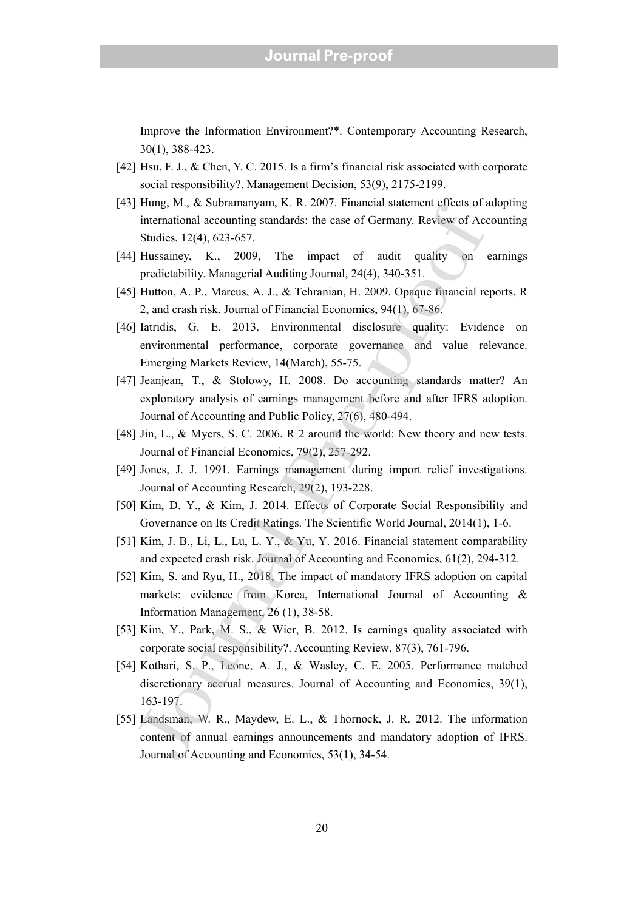Improve the Information Environment?\*. Contemporary Accounting Research, 30(1), 388-423.

- [42] Hsu, F. J., & Chen, Y. C. 2015. Is a firm's financial risk associated with corporate social responsibility?. Management Decision, 53(9), 2175-2199.
- [43] Hung, M., & Subramanyam, K. R. 2007. Financial statement effects of adopting international accounting standards: the case of Germany. Review of Accounting Studies, 12(4), 623-657.
- [44] Hussainey, K., 2009, The impact of audit quality on earnings predictability. Managerial Auditing Journal, 24(4), 340-351.
- [45] Hutton, A. P., Marcus, A. J., & Tehranian, H. 2009. Opaque financial reports, R 2, and crash risk. Journal of Financial Economics, 94(1), 67-86.
- [46] Iatridis, G. E. 2013. Environmental disclosure quality: Evidence on environmental performance, corporate governance and value relevance. Emerging Markets Review, 14(March), 55-75.
- [47] Jeanjean, T., & Stolowy, H. 2008. Do accounting standards matter? An exploratory analysis of earnings management before and after IFRS adoption. Journal of Accounting and Public Policy, 27(6), 480-494.
- [48] Jin, L., & Myers, S. C. 2006. R 2 around the world: New theory and new tests. Journal of Financial Economics, 79(2), 257-292.
- [49] Jones, J. J. 1991. Earnings management during import relief investigations. Journal of Accounting Research, 29(2), 193-228.
- [50] Kim, D. Y., & Kim, J. 2014. Effects of Corporate Social Responsibility and Governance on Its Credit Ratings. The Scientific World Journal, 2014(1), 1-6.
- [51] Kim, J. B., Li, L., Lu, L. Y., & Yu, Y. 2016. Financial statement comparability and expected crash risk. Journal of Accounting and Economics, 61(2), 294-312.
- [52] Kim, S. and Ryu, H., 2018, The impact of mandatory IFRS adoption on capital markets: evidence from Korea, International Journal of Accounting & Information Management, 26 (1), 38-58. Franç ave. Usotomanyan, K. t. 2. 2007. Francka statemative tivets or<br>
international accounting standards: the case of Germany. Review of Acs<br>
Studies, 12(4), 623-657.<br>
Hussainey, K., 2009, The impact of audit quality on<br>
- [53] Kim, Y., Park, M. S., & Wier, B. 2012. Is earnings quality associated with corporate social responsibility?. Accounting Review, 87(3), 761-796.
- [54] Kothari, S. P., Leone, A. J., & Wasley, C. E. 2005. Performance matched discretionary accrual measures. Journal of Accounting and Economics, 39(1), 163-197.
- [55] Landsman, W. R., Maydew, E. L., & Thornock, J. R. 2012. The information content of annual earnings announcements and mandatory adoption of IFRS. Journal of Accounting and Economics, 53(1), 34-54.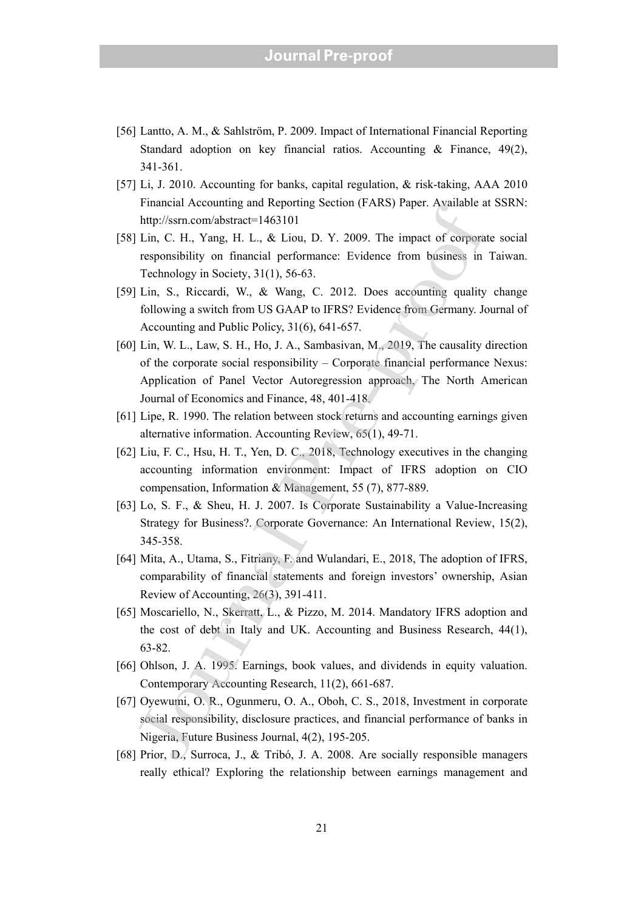- [56] Lantto, A. M., & Sahlström, P. 2009. Impact of International Financial Reporting Standard adoption on key financial ratios. Accounting & Finance, 49(2), 341-361.
- [57] Li, J. 2010. Accounting for banks, capital regulation, & risk-taking, AAA 2010 Financial Accounting and Reporting Section (FARS) Paper. Available at SSRN: http://ssrn.com/abstract=1463101
- [58] Lin, C. H., Yang, H. L., & Liou, D. Y. 2009. The impact of corporate social responsibility on financial performance: Evidence from business in Taiwan. Technology in Society, 31(1), 56-63.
- [59] Lin, S., Riccardi, W., & Wang, C. 2012. Does accounting quality change following a switch from US GAAP to IFRS? Evidence from Germany. Journal of Accounting and Public Policy, 31(6), 641-657.
- [60] Lin, W. L., Law, S. H., Ho, J. A., Sambasivan, M., 2019, The causality direction of the corporate social responsibility – Corporate financial performance Nexus: Application of Panel Vector Autoregression approach, The North American Journal of Economics and Finance, 48, 401-418. r mantar Actouring and reporting Sociol (FARS) Tapel. Avanson a member and reproduct the state of corporation by  $\text{Im}$ , C. H., Yang, H. L., & Liou, D. Y. 2009. The impact of corporation profiles in Technology in Society
- [61] Lipe, R. 1990. The relation between stock returns and accounting earnings given alternative information. Accounting Review, 65(1), 49-71.
- [62] Liu, F. C., Hsu, H. T., Yen, D. C., 2018, Technology executives in the changing accounting information environment: Impact of IFRS adoption on CIO compensation, Information & Management, 55 (7), 877-889.
- [63] Lo, S. F., & Sheu, H. J. 2007. Is Corporate Sustainability a Value-Increasing Strategy for Business?. Corporate Governance: An International Review, 15(2), 345-358.
- [64] Mita, A., Utama, S., Fitriany, F. and Wulandari, E., 2018, The adoption of IFRS, comparability of financial statements and foreign investors' ownership, Asian Review of Accounting, 26(3), 391-411.
- [65] Moscariello, N., Skerratt, L., & Pizzo, M. 2014. Mandatory IFRS adoption and the cost of debt in Italy and UK. Accounting and Business Research, 44(1), 63-82.
- [66] Ohlson, J. A. 1995. Earnings, book values, and dividends in equity valuation. Contemporary Accounting Research, 11(2), 661-687.
- [67] Oyewumi, O. R., Ogunmeru, O. A., Oboh, C. S., 2018, Investment in corporate social responsibility, disclosure practices, and financial performance of banks in Nigeria, Future Business Journal, 4(2), 195-205.
- [68] Prior, D., Surroca, J., & Tribó, J. A. 2008. Are socially responsible managers really ethical? Exploring the relationship between earnings man agement and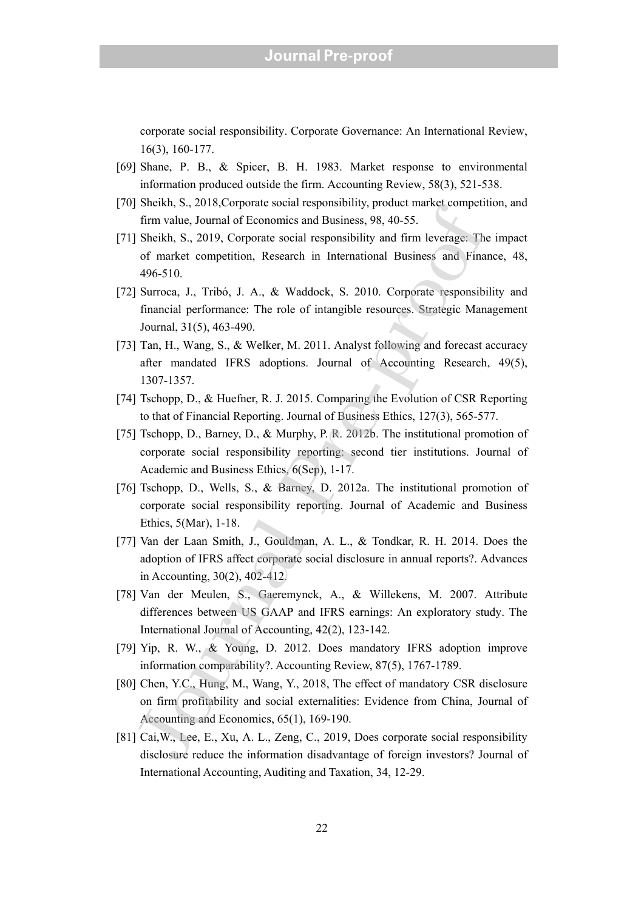corporate social responsibility. Corporate Governance: An International Review, 16(3), 160-177.

- [69] Shane, P. B., & Spicer, B. H. 1983. Market response to environmental information produced outside the firm. Accounting Review, 58(3), 521-538.
- [70] Sheikh, S., 2018,Corporate social responsibility, product market competition, and firm value, Journal of Economics and Business, 98, 40-55.
- [71] Sheikh, S., 2019, Corporate social responsibility and firm leverage: The impact of market competition, Research in International Business and Finance, 48, 496-510.
- [72] Surroca, J., Tribó, J. A., & Waddock, S. 2010. Corporate responsibility and financial performance: The role of intangible resources. Strategic Management Journal, 31(5), 463-490.
- [73] Tan, H., Wang, S., & Welker, M. 2011. Analyst following and forecast accuracy after mandated IFRS adoptions. Journal of Accounting Research, 49(5), 1307-1357.
- [74] Tschopp, D., & Huefner, R. J. 2015. Comparing the Evolution of CSR Reporting to that of Financial Reporting. Journal of Business Ethics, 127(3), 565-577.
- [75] Tschopp, D., Barney, D., & Murphy, P. R. 2012b. The institutional promotion of corporate social responsibility reporting: second tier institutions. Journal of Academic and Business Ethics, 6(Sep), 1-17.
- [76] Tschopp, D., Wells, S., & Barney, D. 2012a. The institutional promotion of corporate social responsibility reporting. Journal of Academic and Business Ethics, 5(Mar), 1-18. Shackin, 5., 2016; Conduct social responsability, prootic miasty. Theorem value, Journal of Economies and Business, 98, 40-55.<br>
Sheikh, S., 2019, Corporate social responsibility and firm leverage. The<br>
of market empetitio
- [77] Van der Laan Smith, J., Gouldman, A. L., & Tondkar, R. H. 2014. Does the adoption of IFRS affect corporate social disclosure in annual reports?. Advances in Accounting, 30(2), 402-412.
- [78] Van der Meulen, S., Gaeremynck, A., & Willekens, M. 2007. Attribute differences between US GAAP and IFRS earnings: An exploratory study. The International Journal of Accounting, 42(2), 123-142.
- [79] Yip, R. W., & Young, D. 2012. Does mandatory IFRS adoption improve information comparability?. Accounting Review, 87(5), 1767-1789.
- [80] Chen, Y.C., Hung, M., Wang, Y., 2018, The effect of mandatory CSR disclosure on firm profitability and social externalities: Evidence from China, Journal of Accounting and Economics, 65(1), 169-190.
- [81] Cai,W., Lee, E., Xu, A. L., Zeng, C., 2019, Does corporate social responsibility disclosure reduce the information disadvantage of foreign investors? Journal of International Accounting, Auditing and Taxation, 34, 12-29.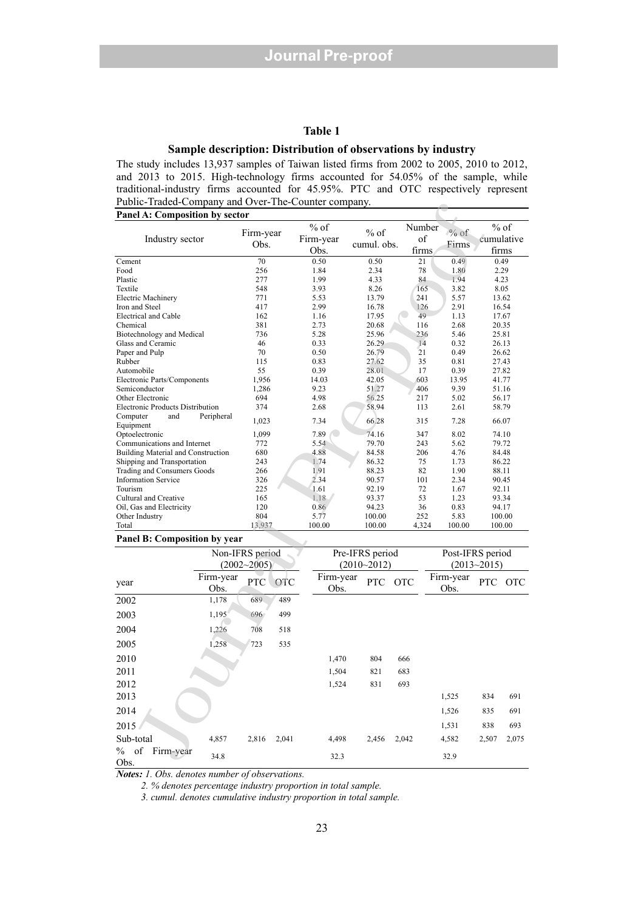#### **Table 1**

#### **Sample description: Distribution of observations by industry**

The study includes 13,937 samples of Taiwan listed firms from 2002 to 2005, 2010 to 2012, and 2013 to 2015. High-technology firms accounted for 54.05% of the sample, while traditional-industry firms accounted for 45.95%. PTC and OTC respectively represent Public-Traded-Company and Over-The-Counter company. **Panel A: Composition by sector** 

| I done-Traded-Company and Over-The-Counter company. |            |                 |            |              |                 |            |           |                  |                 |                |
|-----------------------------------------------------|------------|-----------------|------------|--------------|-----------------|------------|-----------|------------------|-----------------|----------------|
| Panel A: Composition by sector                      |            |                 |            |              |                 |            |           |                  |                 |                |
|                                                     |            |                 |            | $%$ of       |                 |            | Number    |                  |                 | $%$ of         |
| Industry sector                                     |            | Firm-year       |            | Firm-year    | $%$ of          |            | of        | $%$ of           |                 | cumulative     |
|                                                     |            | Obs.            |            | Obs.         | cumul. obs.     |            | firms     | Firms            |                 | firms          |
| Cement                                              |            | 70              |            | 0.50         | 0.50            |            | 21        | 0.49             |                 | 0.49           |
| Food                                                |            | 256             |            | 1.84         | 2.34            |            | 78        | 1.80             |                 | 2.29           |
| Plastic                                             |            | 277             |            | 1.99         | 4.33            |            | 84        | 1.94             |                 | 4.23           |
| Textile                                             |            | 548             |            | 3.93         | 8.26            |            | 165       | 3.82             |                 | 8.05           |
| <b>Electric Machinery</b>                           |            | 771             |            | 5.53         | 13.79           |            | 241       | 5.57             |                 | 13.62          |
| Iron and Steel                                      |            | 417             |            | 2.99         | 16.78           |            | 126       | 2.91             |                 | 16.54          |
| Electrical and Cable                                |            | 162             |            | 1.16         | 17.95           |            | 49        | 1.13             |                 | 17.67          |
| Chemical                                            |            | 381             |            | 2.73         | 20.68           |            | 116       | 2.68             |                 | 20.35          |
| Biotechnology and Medical                           |            | 736<br>46       |            | 5.28         | 25.96<br>26.29  |            | 236<br>14 | 5.46<br>0.32     | 25.81           |                |
| Glass and Ceramic<br>Paper and Pulp                 |            | 70              |            | 0.33<br>0.50 | 26.79           |            | 21        | 0.49             |                 | 26.13<br>26.62 |
| Rubber                                              |            | 115             |            | 0.83         | 27.62           |            | 35        | 0.81             |                 | 27.43          |
| Automobile                                          |            | 55              |            | 0.39         | 28.01           |            | 17        | 0.39             |                 | 27.82          |
| Electronic Parts/Components                         |            | 1,956           |            | 14.03        | 42.05           |            | 603       | 13.95            |                 | 41.77          |
| Semiconductor                                       |            | 1,286           |            | 9.23         | 51.27           |            | 406       | 9.39             |                 | 51.16          |
| Other Electronic                                    |            | 694             |            | 4.98         | 56.25           |            | 217       | 5.02             |                 | 56.17          |
| <b>Electronic Products Distribution</b>             |            | 374             |            | 2.68         | 58.94           |            | 113       | 2.61             |                 | 58.79          |
| Computer<br>and<br>Equipment                        | Peripheral | 1,023           |            | 7.34         | 66.28           |            | 315       | 7.28             |                 | 66.07          |
| Optoelectronic                                      |            | 1.099           |            | 7.89         | 74.16           |            | 347       | 8.02             |                 | 74.10          |
| Communications and Internet                         |            | 772             |            | 5.54         | 79.70           |            | 243       | 5.62             |                 | 79.72          |
| Building Material and Construction                  |            | 680             |            | 4.88         | 84.58           |            | 206       | 4.76             |                 | 84.48          |
| Shipping and Transportation                         |            | 243             |            | 1.74         | 86.32           |            | 75        | 1.73             |                 | 86.22          |
| Trading and Consumers Goods                         |            | 266             |            | 1.91         | 88.23           |            | 82        | 1.90             | 88.11           |                |
| <b>Information Service</b>                          |            | 326             |            | 2.34         | 90.57           |            | 101       | 2.34             |                 | 90.45          |
| Tourism                                             |            | 225             |            | 1.61         | 92.19           |            | 72<br>53  | 1.67             | 92.11           |                |
| Cultural and Creative<br>Oil, Gas and Electricity   |            | 165<br>120      |            | 1.18<br>0.86 | 93.37<br>94.23  |            | 36        | 1.23<br>0.83     |                 | 93.34<br>94.17 |
| Other Industry                                      |            | 804             |            | 5.77         | 100.00          |            | 252       | 5.83             |                 | 100.00         |
| Total                                               |            | 13,937          |            | 100.00       | 100.00          |            | 4,324     | 100.00           |                 | 100.00         |
| Panel B: Composition by year                        |            |                 |            |              |                 |            |           |                  |                 |                |
|                                                     |            | Non-IFRS period |            |              | Pre-IFRS period |            |           | Post-IFRS period |                 |                |
|                                                     |            | $(2002 - 2005)$ |            |              |                 |            |           |                  |                 |                |
|                                                     |            |                 |            |              | $(2010 - 2012)$ |            |           |                  | $(2013 - 2015)$ |                |
| year                                                | Firm-year  | PTC             | <b>OTC</b> | Firm-year    | PTC             | <b>OTC</b> |           | Firm-year        | <b>PTC</b>      | <b>OTC</b>     |
|                                                     | Obs.       |                 |            | Obs.         |                 |            |           | Obs.             |                 |                |
| 2002                                                | 1,178      | 689             | 489        |              |                 |            |           |                  |                 |                |
| 2003                                                | 1,195      | 696             | 499        |              |                 |            |           |                  |                 |                |
| 2004                                                | 1,226      | 708             | 518        |              |                 |            |           |                  |                 |                |
| 2005                                                | 1,258      | 723             | 535        |              |                 |            |           |                  |                 |                |
| 2010                                                |            |                 |            | 1,470        | 804             | 666        |           |                  |                 |                |
| 2011                                                |            |                 |            | 1,504        | 821             | 683        |           |                  |                 |                |
| 2012                                                |            |                 |            | 1,524        | 831             | 693        |           |                  |                 |                |
| 2013                                                |            |                 |            |              |                 |            |           | 1,525            | 834             | 691            |
| 2014                                                |            |                 |            |              |                 |            |           | 1,526            | 835             | 691            |
| 2015                                                |            |                 |            |              |                 |            |           | 1,531            | 838             | 693            |
| Sub-total                                           | 4,857      | 2.816           | 2.041      | 4.498        | 2.456           | 2.042      |           | 4,582            | 2,507           | 2,075          |
| $\%$<br>of<br>Firm-year                             | 34.8       |                 |            | 32.3         |                 |            |           | 32.9             |                 |                |
| $\bigcap_{n\in\mathbb{N}}$                          |            |                 |            |              |                 |            |           |                  |                 |                |

#### **Panel B: Composition by year**

|                                 | Non-IFRS period   | $(2002 - 2005)$ |            | Pre-IFRS period   | $(2010 - 2012)$ |            | Post-IFRS period  | $(2013 - 2015)$ |         |
|---------------------------------|-------------------|-----------------|------------|-------------------|-----------------|------------|-------------------|-----------------|---------|
| year                            | Firm-year<br>Obs. | <b>PTC</b>      | <b>OTC</b> | Firm-year<br>Obs. | PTC             | <b>OTC</b> | Firm-year<br>Obs. |                 | PTC OTC |
| 2002                            | 1,178             | 689             | 489        |                   |                 |            |                   |                 |         |
| 2003                            | 1,195             | 696             | 499        |                   |                 |            |                   |                 |         |
| 2004                            | 1,226             | 708             | 518        |                   |                 |            |                   |                 |         |
| 2005                            | 1,258             | 723             | 535        |                   |                 |            |                   |                 |         |
| 2010                            |                   |                 |            | 1,470             | 804             | 666        |                   |                 |         |
| 2011                            |                   |                 |            | 1,504             | 821             | 683        |                   |                 |         |
| 2012                            |                   |                 |            | 1,524             | 831             | 693        |                   |                 |         |
| 2013                            |                   |                 |            |                   |                 |            | 1,525             | 834             | 691     |
| 2014                            |                   |                 |            |                   |                 |            | 1,526             | 835             | 691     |
| 2015                            |                   |                 |            |                   |                 |            | 1,531             | 838             | 693     |
| Sub-total                       | 4,857             | 2,816           | 2,041      | 4,498             | 2,456           | 2,042      | 4,582             | 2,507           | 2,075   |
| $\%$<br>Firm-year<br>of<br>Obs. | 34.8              |                 |            | 32.3              |                 |            | 32.9              |                 |         |

*Notes: 1. Obs. denotes number of observations.* 

*2. % denotes percentage industry proportion in total sample.* 

*3. cumul. denotes cumulative industry proportion in total sample.*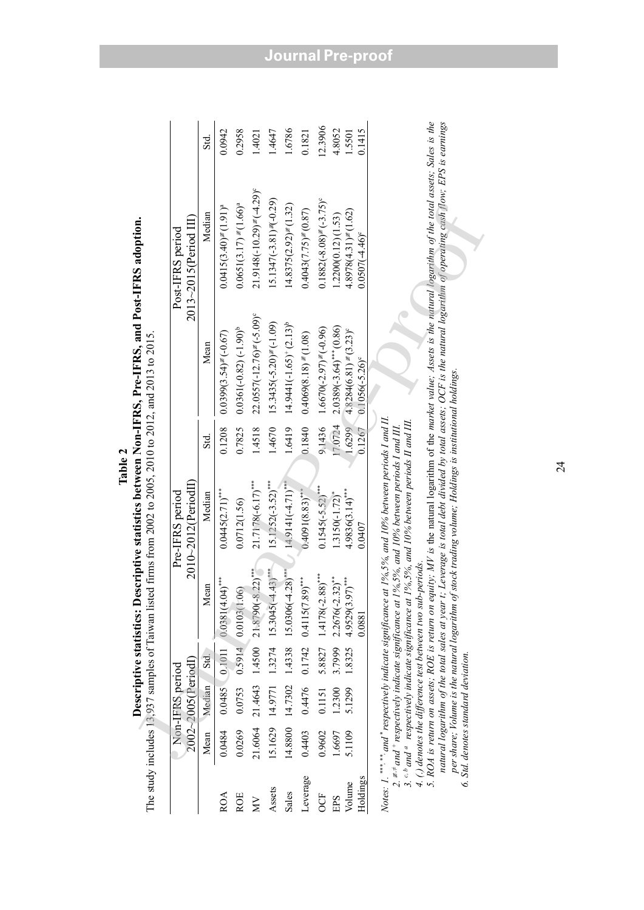|            |                                     | 2002~2005(PeriodI)<br>Non-IFRS period |        |                                                                                                                                                                                                                                                     | $2010 - 2012$ (PeriodII)<br>Pre-IFRS period                                                                                                                                                                                                                           |         |                                        | 2013~2015(Period III)<br>Post-IFRS period                                                                                                                                                                                                                                                                                                       |         |
|------------|-------------------------------------|---------------------------------------|--------|-----------------------------------------------------------------------------------------------------------------------------------------------------------------------------------------------------------------------------------------------------|-----------------------------------------------------------------------------------------------------------------------------------------------------------------------------------------------------------------------------------------------------------------------|---------|----------------------------------------|-------------------------------------------------------------------------------------------------------------------------------------------------------------------------------------------------------------------------------------------------------------------------------------------------------------------------------------------------|---------|
|            | Mean                                | Median                                | Std.   | Mean                                                                                                                                                                                                                                                | Median                                                                                                                                                                                                                                                                | Std.    | Mean                                   | Median                                                                                                                                                                                                                                                                                                                                          | Std.    |
| <b>ROA</b> | 0.0484                              |                                       |        | $0.0485$ $0.1011$ $0.0381(4.04)$ ***                                                                                                                                                                                                                | $0.0445(2.71)$ ***                                                                                                                                                                                                                                                    | 0.1208  | $0.0399(3.54)$ = (-0.67)               | $0.0415(3.40) \neq (1.91)^a$                                                                                                                                                                                                                                                                                                                    | 0.0942  |
| <b>ROE</b> | 0.0269                              |                                       |        | $0.0753$ $0.5914$ $0.0103(1.06)$                                                                                                                                                                                                                    | 0.0712(1.56)                                                                                                                                                                                                                                                          | 0.7825  | $0.0361(-0.82) (-1.90)^{b}$            | $0.0651(3.17) \neq (1.66)^a$                                                                                                                                                                                                                                                                                                                    | 0.2958  |
| Š          | 21.6064                             |                                       |        | $21.4643$ 1.4500 21.8790(-8.22) <sup>****</sup>                                                                                                                                                                                                     | $21.7178(-6.17)$ ***                                                                                                                                                                                                                                                  | 1.4518  | $22.0557(-12.76) \neq (-5.09)^{\circ}$ | $21.9148(-10.29) \neq (-4.29)^e$                                                                                                                                                                                                                                                                                                                | 1.4021  |
| Assets     | 15.1629                             |                                       |        | $14.9771$ 1.3274 15.3045(-4.43) <sup>****</sup>                                                                                                                                                                                                     | $15.1252(-3.52)$ ***                                                                                                                                                                                                                                                  | 1.4670  | $15.3435(-5.20) \neq (-1.09)$          | $15.1347(-3.81)$ $\neq$ $-0.29$ )                                                                                                                                                                                                                                                                                                               | 1.4647  |
| Sales      | 14.8800                             | 14.7302                               |        | $1.4338$ 15.0306(-4.28) <sup>***</sup>                                                                                                                                                                                                              | $14.9141(-4.71)$ ***                                                                                                                                                                                                                                                  | 1.6419  | $14.9441(-1.65)+(2.13)^{b}$            | $14.8375(2.92)$ $\neq$ (1.32)                                                                                                                                                                                                                                                                                                                   | 1.6786  |
| Leverage   | 0.4403                              |                                       |        | $0.4476$ $0.1742$ $0.4115(7.89)$ ***                                                                                                                                                                                                                | $0.4091(8.83)$ ***                                                                                                                                                                                                                                                    | 0.1840  | $0.4069(8.18) \neq (1.08)$             | $0.4043(7.75)$ $\neq$ $(0.87)$                                                                                                                                                                                                                                                                                                                  | 0.1821  |
| <b>OCF</b> | 0.9602                              | 0.1151                                | 5.8827 | $1.4178(-2.88)$ ***                                                                                                                                                                                                                                 | $0.1545(-5.52)$ ***                                                                                                                                                                                                                                                   | 9.1436  | $1.6670(-2.97)$ $\neq$ (-0.96)         | $0.1882(-8.08)$ = (-3.75)°                                                                                                                                                                                                                                                                                                                      | 12.3906 |
| EPS        | 1.6697                              | 1.2300                                | 3.7999 | $2.2676(-2.32)$ **                                                                                                                                                                                                                                  | $1.3150(-1.72)^{*}$                                                                                                                                                                                                                                                   | 17.0724 | $2.0389(-3.64)$ *** (0.86)             | 1.2200(0.12)(1.53)                                                                                                                                                                                                                                                                                                                              | 4.8052  |
| Volume     | 5.1109                              | 5.1299                                | 1.8325 | $4.9529(3.97)$ ***                                                                                                                                                                                                                                  | $4.9836(3.14)$ ***                                                                                                                                                                                                                                                    | 1.6299  | $4.8284(6.81) \neq (3.23)^c$           | $4.8978(4.31)$ $\neq$ (1.62)                                                                                                                                                                                                                                                                                                                    | 1.5501  |
| Holdings   |                                     |                                       |        | 0.0881                                                                                                                                                                                                                                              | 0.0407                                                                                                                                                                                                                                                                | 0.1267  | $0.1056(-5.26)^{\circ}$                | $0.0507(-4.46)$ °                                                                                                                                                                                                                                                                                                                               | 0.1415  |
|            | 6. Std. denotes standard deviation. |                                       |        | 4. (.) denotes the difference test between two sub-periods.<br>per share; Volume is the natural logarithm of<br>3. $c$ $^{b}$ and $^{a}$ respectively indicate significance at<br>2. $\neq \neq$ and $\neq$ respectively indicate significance at . | stock trading volume; Holdings is institutional holdings.<br>Notes: 1. ***, ** and *respectively indicate significance at 1%,5%, and 10% between periods I and II.<br>$196, 5\%$ , and $10\%$ between periods II and III.<br>1%,5%, and 10% between periods I and III |         |                                        | 5. ROA is return on assets; ROE is return on equity; MV is the natural logarithm of the market value; Assets is the natural logarithm of the total assets; Sales is the<br>natural logarithm of the total sales at year t; Leverage is total debt divided by total assets; OCF is the natural logarithm of operating cash flow; EPS is earnings |         |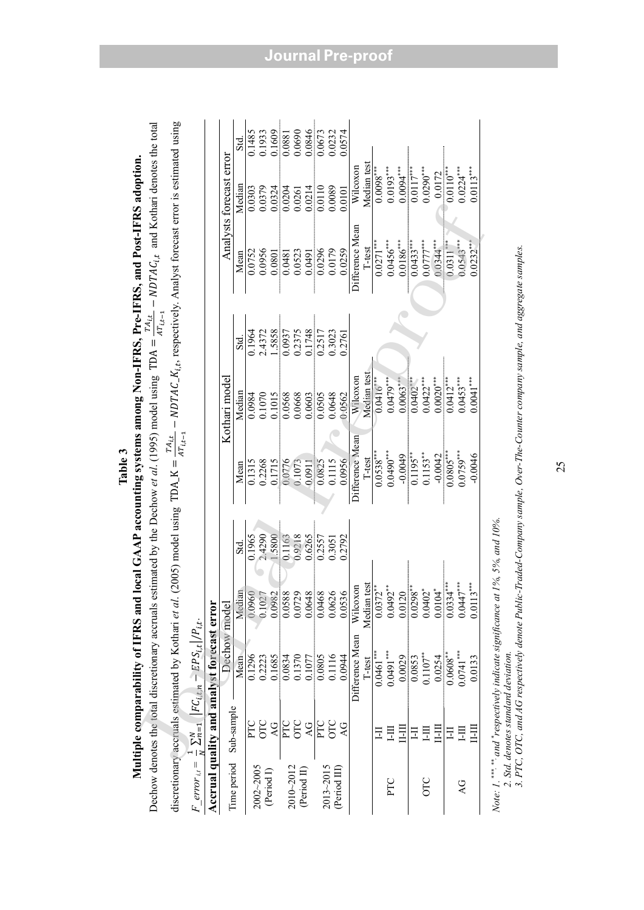|                 |                 |                                                               |                                                                                                                                                                                                                                                                                                                                                |        | Multiple comparability of IFRS and local GAAP accounting systems among Non-IFRS, Pre-IFRS, and Post-IFRS adoption.                             |               |        |                  |                         |                  |
|-----------------|-----------------|---------------------------------------------------------------|------------------------------------------------------------------------------------------------------------------------------------------------------------------------------------------------------------------------------------------------------------------------------------------------------------------------------------------------|--------|------------------------------------------------------------------------------------------------------------------------------------------------|---------------|--------|------------------|-------------------------|------------------|
|                 |                 | Dechow denotes the total discretionary accruals               |                                                                                                                                                                                                                                                                                                                                                |        | estimated by the Dechow <i>et al.</i> (1995) model using TDA = $\frac{T A_{i,t}}{A T_{i,t-1}} - N D T A C_{i,t}$ and Kothari denotes the total |               |        |                  |                         |                  |
|                 |                 | discretionary accruals estimated by Kothari et al             |                                                                                                                                                                                                                                                                                                                                                |        | . (2005) model using TDA_K = $\frac{TAt_{i,t}}{AT_{i,t-1}}$ – NDTAC_K <sub>it</sub> , respectively. Analyst forecast error is estimated using  |               |        |                  |                         |                  |
| $F$ error $u_i$ |                 | $\frac{1}{N}\sum_{n=1}^{N}  FC_{i,t,n} - EPS_{i,t} /P_{i,t}.$ |                                                                                                                                                                                                                                                                                                                                                |        |                                                                                                                                                |               |        |                  |                         |                  |
|                 |                 | Accrual quality and analyst forecast error                    |                                                                                                                                                                                                                                                                                                                                                |        |                                                                                                                                                |               |        |                  |                         |                  |
| Time period     | Sub-sample      |                                                               | Dechow model                                                                                                                                                                                                                                                                                                                                   |        |                                                                                                                                                | Kothari model |        |                  | Analysts forecast error |                  |
|                 |                 | Mean                                                          |                                                                                                                                                                                                                                                                                                                                                | Std.   | Mean                                                                                                                                           | Median        | Std.   | Mean             | Median                  | <u>ನ</u>         |
| 2002~2005       | PTC             | 0.1296                                                        | Median<br>0.0960<br>0.1027                                                                                                                                                                                                                                                                                                                     | 0.1965 | 0.1315                                                                                                                                         | 0.0984        | 0.1964 | 0.0752           | 0.0303                  | 0.1485           |
|                 | OLC             | 0.2223                                                        |                                                                                                                                                                                                                                                                                                                                                | 2.4290 | 0.2268                                                                                                                                         | 0.1070        | 2.4372 | 0.0956           | 0.0379                  | 0.1933           |
| (Period I)      | $\overline{AC}$ | 0.1685                                                        | 0.0982                                                                                                                                                                                                                                                                                                                                         | 1.5800 | 0.1715                                                                                                                                         | 0.1015        | 1.5858 | 0.0801           | 0.0324                  | 0.1609           |
| 2010~2012       | PTC             | 0.0834                                                        |                                                                                                                                                                                                                                                                                                                                                | 0.1163 | 0.0776                                                                                                                                         | 0.0568        | 0.0937 | 0.0481           | 0.0204                  | 0.0881           |
|                 | OTC             | 0.1370                                                        |                                                                                                                                                                                                                                                                                                                                                | 0.9218 | 0.1073                                                                                                                                         | 0.0668        | 0.2375 | 0.0523           | 0.0261                  | 0.0690<br>0.0846 |
| (Period II)     | $\overline{A}$  | 0.1077                                                        |                                                                                                                                                                                                                                                                                                                                                | 0.6265 | 0.0911                                                                                                                                         | 0.0603        | 0.1748 | 0.0491           | 0.0214                  |                  |
| 2013~2015       | FTC             | 0.0805                                                        | $\begin{array}{r} 0.0588 \\ 0.0729 \\ 0.0648 \\ 0.0648 \\ 0.0636 \\ 0.0536 \end{array}$                                                                                                                                                                                                                                                        | 0.2557 | 0.0825                                                                                                                                         | 0.0505        | 0.2517 | 0.0296<br>0.0179 | 0.0110                  | 0.0673           |
|                 | OTC             | 0.1116                                                        |                                                                                                                                                                                                                                                                                                                                                | 0.3051 | 0.1115                                                                                                                                         | 0.0648        | 0.3023 |                  | 0.0089                  | 0.0232           |
| (Period III)    |                 | 0.0944                                                        |                                                                                                                                                                                                                                                                                                                                                | 0.2792 | 0.0956                                                                                                                                         | 0.0562        | 0.2761 | 0.0259           | 0.0101                  | 0.0574           |
|                 |                 | Difference Mean                                               | Wilcoxon                                                                                                                                                                                                                                                                                                                                       |        | Difference Mean                                                                                                                                | Wilcoxon      |        | Difference Mean  | Wilcoxon                |                  |
|                 |                 | $l$ -test                                                     | Median test                                                                                                                                                                                                                                                                                                                                    |        | I-test                                                                                                                                         | Median test   |        | T-test           | Median test             |                  |
|                 | Ξ               | $0.0461***$                                                   |                                                                                                                                                                                                                                                                                                                                                |        | $0.0538***$                                                                                                                                    | $0.0416^{**}$ |        | $0.0271***$      | $0.0098***$             |                  |
| PTC             | 旵               | $0.0491***$                                                   |                                                                                                                                                                                                                                                                                                                                                |        | $0.0490***$                                                                                                                                    | $0.0479**$    |        | $0.0456***$      | $0.0193***$             |                  |
|                 | 目               | 0.0029                                                        |                                                                                                                                                                                                                                                                                                                                                |        | $-0.0049$                                                                                                                                      | $0.0063***$   |        | $0.0186***$      | $0.0094***$             |                  |
|                 | 日               | 0.0853                                                        |                                                                                                                                                                                                                                                                                                                                                |        | $0.1195***$                                                                                                                                    | $0.0402***$   |        | $0.0433***$      | $0.0117***$             |                  |
| OLC             | 巨               | $0.1107***$                                                   | $\begin{array}{c} \n 0.0372 \ast \atop 0.0492 \ast \atop 0.0120 \atop 0.0298 \ast \atop 0.0402 \ast \atop 0.0402 \ast \atop 0.0104 \ast \atop 0.0104 \ast \atop 0.0104 \ast \atop 0.0104 \ast \atop 0.0104 \ast \atop 0.0104 \ast \atop 0.0104 \ast \atop 0.0104 \ast \atop 0.0104 \ast \atop 0.0104 \ast \atop 0.0104 \ast \atop 0.0104 \ast$ |        | $0.1153***$                                                                                                                                    | $0.0422***$   |        | $0.0777***$      | $0.0290***$             |                  |
|                 | II-II           | 0.0254                                                        |                                                                                                                                                                                                                                                                                                                                                |        | $-0.0042$                                                                                                                                      | $0.0020***$   |        | $0.0344***$      | 0.0172                  |                  |
|                 | Ξ               | $0.0608$ *                                                    | $0.0334***$                                                                                                                                                                                                                                                                                                                                    |        | $0.0805***$                                                                                                                                    | $0.0412***$   |        | $0.0311***$      | $0.0110^{**}$           |                  |
| $\overline{A}$  | 目               | $0.0741***$                                                   | $0.0447***$                                                                                                                                                                                                                                                                                                                                    |        | $0.0759***$                                                                                                                                    | $0.0453***$   |        | $0.0543***$      | $0.0224***$             |                  |
|                 | II-II           | 0.0133                                                        | $0.0113***$                                                                                                                                                                                                                                                                                                                                    |        | $-0.0046$                                                                                                                                      | $0.0041***$   |        | $0.0232**$       | $0.0113***$             |                  |
|                 |                 |                                                               |                                                                                                                                                                                                                                                                                                                                                |        |                                                                                                                                                |               |        |                  |                         |                  |

**Table 3** 

*Note: 1.* \*\*\*, \*\*\*, and \*respectively indicate significance at 1%, 5%, and 10%.  *2. Std. denotes standard deviation.*   *3. PTC, OTC, and AG respectively denote Public-Traded-Company sample, Over-The-Counter company sample, and aggregate samples.* 

## **Journal Pre-proof**

25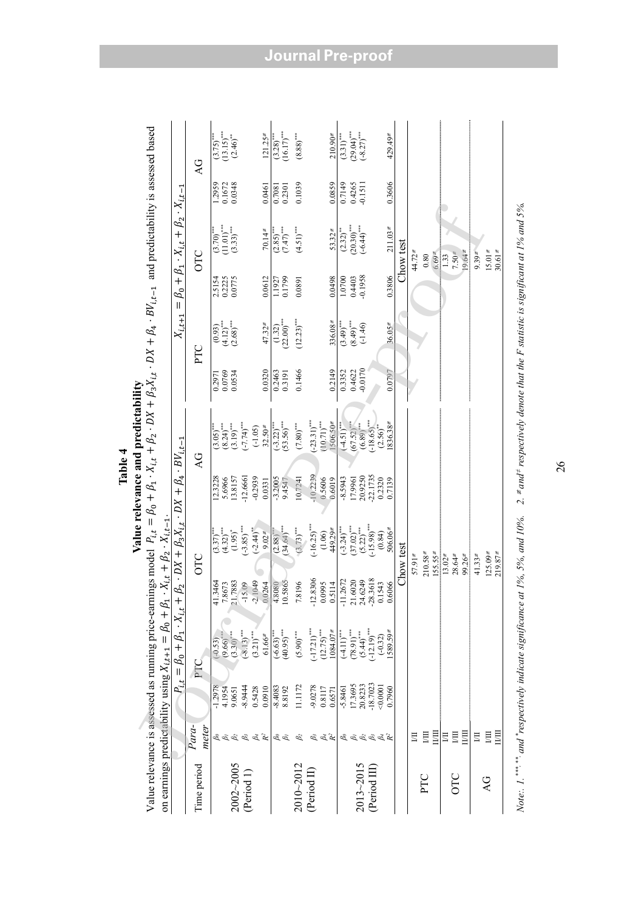|                                                                             |                                            |                                                                   |                                                                                                        |                                                                    |                                                                                                              |                                                                   | Value relevance and predictability                                                                                                                                                                                          |                                         |                                                           |                                         |                                                                            |                                       |                                                                                |
|-----------------------------------------------------------------------------|--------------------------------------------|-------------------------------------------------------------------|--------------------------------------------------------------------------------------------------------|--------------------------------------------------------------------|--------------------------------------------------------------------------------------------------------------|-------------------------------------------------------------------|-----------------------------------------------------------------------------------------------------------------------------------------------------------------------------------------------------------------------------|-----------------------------------------|-----------------------------------------------------------|-----------------------------------------|----------------------------------------------------------------------------|---------------------------------------|--------------------------------------------------------------------------------|
| on earnings predictability using $X_{i,t+1} = \beta_0 + \beta_1$            |                                            |                                                                   |                                                                                                        |                                                                    | $\cdot X_{i,t} + \beta_2 \cdot X_{i,t-1}$                                                                    |                                                                   | Value relevance is assessed as running price-earnings model $P_{i,t} = \beta_0 + \beta_1 \cdot X_{i,t} + \beta_2 \cdot DX_{i,t} + \beta_3 X_{i,t} \cdot DX + \beta_4 \cdot BV_{i,t-1}$ and predictability is assessed based |                                         |                                                           |                                         |                                                                            |                                       |                                                                                |
|                                                                             |                                            | $P_{i,t}$                                                         | $= \beta_0 + \beta_1 \cdot X_{i.t}$                                                                    |                                                                    | $+ \beta_2 \cdot DX + \beta_3 X_{i,t} \cdot DX + \beta_4 \cdot BV_{i,t-1}$                                   |                                                                   |                                                                                                                                                                                                                             |                                         | $X_{i,t+1} =$                                             |                                         | $\beta_0 + \beta_1 \cdot X_{i,t} + \beta_2 \cdot X_{i,t-1}$                |                                       |                                                                                |
| Time period                                                                 | Para-<br>meter                             |                                                                   | PTC                                                                                                    |                                                                    | OTC                                                                                                          |                                                                   | $\overline{Q}$                                                                                                                                                                                                              |                                         | PTC                                                       |                                         | OTC                                                                        |                                       | $\overline{Q}$                                                                 |
| $2002 - 2005$<br>(Period 1)                                                 | $\stackrel{S_3}{\beta_4}$<br>$g \otimes g$ | $-1.2978$<br>$-8.9444$<br>0.0910<br>4.1954<br>0.5428<br>9.0651    | $(-8.13)$ ***<br>$(3.21)$ **<br>$(3.30)$ <sup>***</sup><br>$61.66*$<br>(9.66)<br>$(-0.53)$             | 21.7883<br>$-2.1049$<br>1.3464<br>$-15.09$<br>.8673<br>0.0264<br>4 | $(-3.85)$ ***<br>$(4.32)$ ***<br>$(-2.44)$ **<br>$(1.95)$ <sup>*</sup><br>$9.02$ #<br>$(3.37)$ <sup>**</sup> | $-12.6661$<br>$-0.2939$<br>13.8157<br>12.3228<br>5.6966<br>0.0331 | $(-7.74)$ ***<br>$(8.24)$ ***<br>$32.50*$<br>$(-1.05)$<br>$(3.05)$ <sup>**</sup>                                                                                                                                            | 0.0769<br>0.0320<br>0.0534<br>0.2971    | $\frac{(4.12)^{4.1}}{(2.68)^{4.1}}$<br>$47.32*$<br>(0.93) | 2.5154<br>0.2225<br>0.0775<br>0.0612    | $(11.01)$<br>$(11.01)$<br>$(11.01)$<br>$(11.01)$<br>$(11.01)$<br>$70.14$ # | 0.1672<br>0.0348<br>1.2959<br>0.0461  | $(13.15)$ <sup>***</sup><br>$(2.46)$ <sup>*</sup><br>121.25#<br>$(3.75)^{***}$ |
| $2010 - 2012$                                                               | $\beta_2$<br>$\overset{\circ}{\beta_{i}}$  | 11.1172<br>$-8.4083$<br>8.8192                                    | $(40.95)$ ***<br>$(5.90)$ "<br>$(-6.63)$                                                               | 0.5865<br>8196<br>18080                                            | $(34.64)$ ***<br>$(3.73)$ <sup>***</sup><br>(2.88)                                                           | $-3.2005$<br>10.7241<br>9.4547                                    | $(53.56)$ ***<br>$(7.80)$<br>$(-3.22)$                                                                                                                                                                                      | 0.1466<br>0.2463<br>0.3191              | $(1.32)$<br>$(22.00)$ ***<br>$(12.23)***$                 | 1.1927<br>0.1799<br>0.0891              | $(2.85)$<br>$(7.47)$<br>$(4.51)$ <sup>***</sup>                            | 0.1039<br>0.2301<br>0.7081            | $(3.28)$ <sup>***</sup><br>(16.17) <sup>***</sup><br>$\left(8.88\right)^{***}$ |
| (Period II)                                                                 | $\beta_3$<br>$\beta_4$<br>$R^2$            | $-9.0278$<br>0.8117<br>0.6571                                     | $(-17.21)$ ***<br>$(12.75)$ ***<br>$1084.07$ #                                                         | $-12.8306$<br>.0995<br>.5114                                       | $(-16.25)$ ***<br>449.29≢<br>(1.06)                                                                          | $-10.2239$<br>0.5606<br>0.6019                                    | $506.50*$<br>$(-23.31)$ <sup>***</sup><br>$10.71$ )***                                                                                                                                                                      | 0.2149                                  | $336.08*$                                                 | 0.0498                                  | $53.32$ #                                                                  | 0.0859                                | $210.90$ #                                                                     |
| 2013~2015<br>$(\rm Period~ III)$                                            | 8. 8. 8. 8. 8. 8                           | $-18.7023$<br>17.3695<br>20.8233<br>0.0001<br>0.7960<br>$-5.8461$ | $(-12.19)$ ***<br>$(78.91)$ ***<br>$1589.59$ <sup>#</sup><br>$(5.44)$ ***<br>$(4.11)$ ***<br>$(-0.32)$ | 21.6020<br>24.6249<br>-28.3618<br>$-11.2672$<br>0.1543<br>1.6066   | $(-15.98)$ <sup>***</sup><br>$(37.02)$ ***<br>$(5.22)$ **<br>$(-3.24)$ ***<br>$506.06$ #<br>(0.84)           | 22.1735<br>20.9250<br>$-8.5943$<br>0.2320<br>17.9961<br>0.7139    | $-18.65)$ ***<br>$1836.38*$<br>$(6.89)$ "<br>(67.52)<br>$(-4.51)$ <sup>***</sup><br>$(2.56)$ **                                                                                                                             | $-0.0170$<br>0.3352<br>0.4622<br>0.0797 | $(3.49)$<br>$(6F.8)$<br>$(6F.5)$<br>$36.05 =$             | $-0.1958$<br>0.3806<br>0.4403<br>1.0700 | $(2.32)$<br>$(20.30)$<br>$(-6.44)$<br>$(-6.44)$<br>$211.03*$               | 0.4265<br>-0.1511<br>0.3606<br>0.7149 | $(29.04)$<br>$(-8.27)$<br>429.49<br>$(3.31)$ <sup>***</sup>                    |
| PTC                                                                         | 目<br>Щ<br>IЩ                               |                                                                   |                                                                                                        |                                                                    | Chow test<br>$210.58*$<br>$155.55*$<br>$57.91 =$                                                             |                                                                   |                                                                                                                                                                                                                             |                                         |                                                           |                                         | Chow test<br>$44.72*$<br>$6.69$ $#$<br>0.80                                |                                       |                                                                                |
| OLO                                                                         | 目<br>$\overline{M}$<br>$\mathbb{H}$        |                                                                   |                                                                                                        |                                                                    | $28.64$ #<br>$99.26$ <sup><math>\neq</math></sup><br>$13.02$ #                                               |                                                                   |                                                                                                                                                                                                                             |                                         |                                                           |                                         | 19.64<br>$7.50 =$<br>1.33                                                  |                                       |                                                                                |
| QV                                                                          | $\overline{u}$<br>$\overline{M}$<br>$\Xi$  |                                                                   |                                                                                                        |                                                                    | $125.09*$<br>$219.87$ <sup>#</sup><br>$41.33*$                                                               |                                                                   |                                                                                                                                                                                                                             |                                         |                                                           |                                         | $30.61$ #<br>$15.01*$<br>$9.39$ $\neq$                                     |                                       |                                                                                |
| Note: 1. *** ** and *respectively indicate significance at 1%, 5%, and 10%. |                                            |                                                                   |                                                                                                        |                                                                    |                                                                                                              |                                                                   | 2. $\neq$ and $\neq$ respectively denote that the F statistic is significant at 1% and 5%.                                                                                                                                  |                                         |                                                           |                                         |                                                                            |                                       |                                                                                |

**Table 4** 

**Journal Pre-proof**

26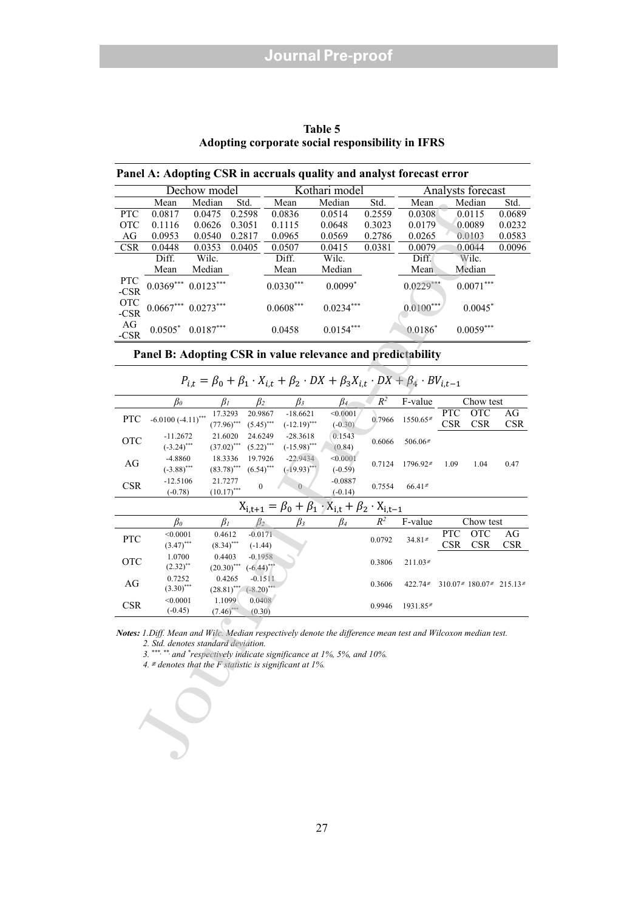|                                                  | Table 5 |  |  |
|--------------------------------------------------|---------|--|--|
| Adopting corporate social responsibility in IFRS |         |  |  |

|  | Panel A: Adopting CSR in accruals quality and analyst forecast error |
|--|----------------------------------------------------------------------|
|  |                                                                      |

|                      |             | Dechow model |        |             | Kothari model |        |             | Analysts forecast |        |
|----------------------|-------------|--------------|--------|-------------|---------------|--------|-------------|-------------------|--------|
|                      | Mean        | Median       | Std.   | Mean        | Median        | Std.   | Mean        | Median            | Std.   |
| <b>PTC</b>           | 0.0817      | 0.0475       | 0.2598 | 0.0836      | 0.0514        | 0.2559 | 0.0308      | 0.0115            | 0.0689 |
| <b>OTC</b>           | 0.1116      | 0.0626       | 0.3051 | 0.1115      | 0.0648        | 0.3023 | 0.0179      | 0.0089            | 0.0232 |
| AG                   | 0.0953      | 0.0540       | 0.2817 | 0.0965      | 0.0569        | 0.2786 | 0.0265      | 0.0103            | 0.0583 |
| <b>CSR</b>           | 0.0448      | 0.0353       | 0.0405 | 0.0507      | 0.0415        | 0.0381 | 0.0079      | 0.0044            | 0.0096 |
|                      | Diff.       | Wilc.        |        | Diff.       | Wilc.         |        | Diff.       | Wilc.             |        |
|                      | Mean        | Median       |        | Mean        | Median        |        | Mean        | Median            |        |
| <b>PTC</b><br>$-CSR$ | $0.0369***$ | $0.0123***$  |        | $0.0330***$ | $0.0099*$     |        | $0.0229***$ | $0.0071***$       |        |
| <b>OTC</b><br>$-CSR$ | $0.0667***$ | $0.0273***$  |        | $0.0608***$ | $0.0234***$   |        | $0.0100***$ | $0.0045*$         |        |
| AG<br>$-CSR$         | $0.0505*$   | $0.0187***$  |        | 0.0458      | $0.0154***$   |        | $0.0186*$   | $0.0059***$       |        |

| $P_{i,t} = \beta_0 + \beta_1 \cdot X_{i,t} + \beta_2 \cdot DX + \beta_3 X_{i,t} \cdot DX + \beta_4 \cdot BV_{i,t-1}$ |  |
|----------------------------------------------------------------------------------------------------------------------|--|
|----------------------------------------------------------------------------------------------------------------------|--|

|                    | ivicali                                                                                             | iviculali                 | om.           |              | ivicali        | iviculali                                                                                                                                                                               | ow.            | <b>IVICAII</b> |            | iviculali                                 | om.        |
|--------------------|-----------------------------------------------------------------------------------------------------|---------------------------|---------------|--------------|----------------|-----------------------------------------------------------------------------------------------------------------------------------------------------------------------------------------|----------------|----------------|------------|-------------------------------------------|------------|
| PTC                | 0.0817                                                                                              | 0.0475                    | 0.2598        |              | 0.0836         | 0.0514                                                                                                                                                                                  | 0.2559         | 0.0308         |            | 0.0115                                    | 0.0689     |
| <b>OTC</b>         | 0.1116                                                                                              | 0.0626                    | 0.3051        |              | 0.1115         | 0.0648                                                                                                                                                                                  | 0.3023         | 0.0179         |            | 0.0089                                    | 0.0232     |
| $\rm{AG}$          | 0.0953                                                                                              | 0.0540                    | 0.2817        |              | 0.0965         | 0.0569                                                                                                                                                                                  | 0.2786         | 0.0265         |            | 0.0103                                    | 0.0583     |
| <b>CSR</b>         | 0.0448                                                                                              | 0.0353                    | 0.0405        |              | 0.0507         | 0.0415                                                                                                                                                                                  | 0.0381         | 0.0079         |            | 0.0044                                    | 0.0096     |
|                    | Diff.                                                                                               | Wilc.                     |               |              | Diff.          | Wilc.                                                                                                                                                                                   |                | Diff.          |            | Wilc.                                     |            |
|                    |                                                                                                     |                           |               |              |                |                                                                                                                                                                                         |                |                |            | Median                                    |            |
|                    | Mean                                                                                                | Median                    |               |              | Mean           | Median                                                                                                                                                                                  |                | Mean           |            |                                           |            |
| PTC<br>-CSR        | $0.0369***$                                                                                         | $0.0123***$               |               |              | $0.0330***$    | $0.0099*$                                                                                                                                                                               |                | $0.0229***$    |            | $0.0071***$                               |            |
| <b>OTC</b><br>-CSR | $0.0667***$                                                                                         | $0.0273***$               |               |              | $0.0608***$    | $0.0234***$                                                                                                                                                                             |                | $0.0100**$     |            | $0.0045*$                                 |            |
| AG<br>$-CSR$       | $0.0505*$                                                                                           | $0.0187***$               |               |              | 0.0458         | $0.0154***$                                                                                                                                                                             |                | $0.0186*$      |            | $0.0059***$                               |            |
|                    |                                                                                                     |                           |               |              |                | Panel B: Adopting CSR in value relevance and predictability                                                                                                                             |                |                |            |                                           |            |
|                    |                                                                                                     |                           |               |              |                | $P_{i,t} = \beta_0 + \beta_1 \cdot X_{i,t} + \beta_2 \cdot DX + \beta_3 X_{i,t} \cdot DX + \beta_4 \cdot BV_{i,t-1}$                                                                    |                |                |            |                                           |            |
|                    | $\beta_0$                                                                                           | $\beta_I$                 |               | $\beta_2$    | $\beta_3$      | $\beta_4$                                                                                                                                                                               | $\mathbb{R}^2$ | F-value        |            | Chow test                                 |            |
|                    |                                                                                                     | 17.3293                   |               | 20.9867      | $-18.6621$     | < 0.0001                                                                                                                                                                                |                |                | <b>PTC</b> | <b>OTC</b>                                | AG         |
| <b>PTC</b>         | $-6.0100 (-4.11)^{***}$                                                                             | $(77.96)$ <sup>****</sup> |               | $(5.45)$ *** | $(-12.19)$ *** | $(-0.30)$                                                                                                                                                                               | 0.7966         | 1550.65≢       | <b>CSR</b> | <b>CSR</b>                                | <b>CSR</b> |
|                    | $-11.2672$                                                                                          | 21.6020                   |               | 24.6249      | $-28.3618$     | 0.1543                                                                                                                                                                                  |                |                |            |                                           |            |
| <b>OTC</b>         | $(-3.24)$ ***                                                                                       | $(37.02)$ <sup>***</sup>  |               | $(5.22)$ *** | $(-15.98)$ *** | (0.84)                                                                                                                                                                                  | 0.6066         | $506.06*$      |            |                                           |            |
|                    | -4.8860                                                                                             |                           | 18.3336       | 19.7926      | $-22.9434$     | < 0.0001                                                                                                                                                                                |                |                |            |                                           |            |
| AG                 | $(-3.88)$ ***                                                                                       | $(83.78)$ <sup>***</sup>  |               | $(6.54)$ *** | $(-19.93)$ *** | $(-0.59)$                                                                                                                                                                               | 0.7124         | 1796.92≢       | 1.09       | 1.04                                      | 0.47       |
|                    | $-12.5106$                                                                                          | 21.7277                   |               |              |                | $-0.0887$                                                                                                                                                                               |                |                |            |                                           |            |
| CSR                | $(-0.78)$                                                                                           | $(10.17)$ ***             |               | $\mathbf{0}$ | $\overline{0}$ | $(-0.14)$                                                                                                                                                                               | 0.7554         | $66.41*$       |            |                                           |            |
|                    |                                                                                                     |                           |               |              |                |                                                                                                                                                                                         |                |                |            |                                           |            |
|                    |                                                                                                     |                           |               |              |                | $X_{i,t+1} = \beta_0 + \beta_1 \cdot X_{i,t} + \beta_2 \cdot X_{i,t-1}$                                                                                                                 |                |                |            |                                           |            |
|                    | $\beta_0$                                                                                           | $\beta_I$                 |               | $\beta_2$    | $\beta_3$      | $\beta_4$                                                                                                                                                                               | $R^2$          | F-value        |            | Chow test                                 |            |
| <b>PTC</b>         | < 0.0001                                                                                            | 0.4612                    |               | $-0.0171$    |                |                                                                                                                                                                                         | 0.0792         | $34.81*$       | <b>PTC</b> | <b>OTC</b>                                | AG         |
|                    | $(3.47)$ ***                                                                                        |                           | $(8.34)$ ***  | $(-1.44)$    |                |                                                                                                                                                                                         |                |                | <b>CSR</b> | <b>CSR</b>                                | <b>CSR</b> |
| <b>OTC</b>         | 1.0700                                                                                              | 0.4403                    |               | $-0.1958$    |                |                                                                                                                                                                                         |                |                |            |                                           |            |
|                    | $(2.32)$ **                                                                                         |                           | $(20.30)$ *** | $(-6.44)$    |                |                                                                                                                                                                                         | 0.3806         | $211.03*$      |            |                                           |            |
| AG                 | 0.7252                                                                                              |                           | 0.4265        | $-0.1511$    |                |                                                                                                                                                                                         |                |                |            |                                           |            |
|                    | $(3.30)$ ***                                                                                        | $(28.81)$ ***             |               | $(-8.20)$ ** |                |                                                                                                                                                                                         | 0.3606         | $422.74*$      |            | 310.07 $\neq$ 180.07 $\neq$ 215.13 $\neq$ |            |
|                    | < 0.0001                                                                                            |                           | 1.1099        | 0.0408       |                |                                                                                                                                                                                         |                |                |            |                                           |            |
| CSR                | $(-0.45)$                                                                                           | (7.46)                    |               | (0.30)       |                |                                                                                                                                                                                         | 0.9946         | 1931.85≢       |            |                                           |            |
|                    | 2. Std. denotes standard deviation.<br>4. $\neq$ denotes that the F statistic is significant at 1%. |                           |               |              |                | Notes: 1. Diff. Mean and Wilc. Median respectively denote the difference mean test and Wilcoxon median test.<br>3. ***, **, and *respectively indicate significance at 1%, 5%, and 10%. |                |                |            |                                           |            |
|                    |                                                                                                     |                           |               |              |                |                                                                                                                                                                                         |                |                |            |                                           |            |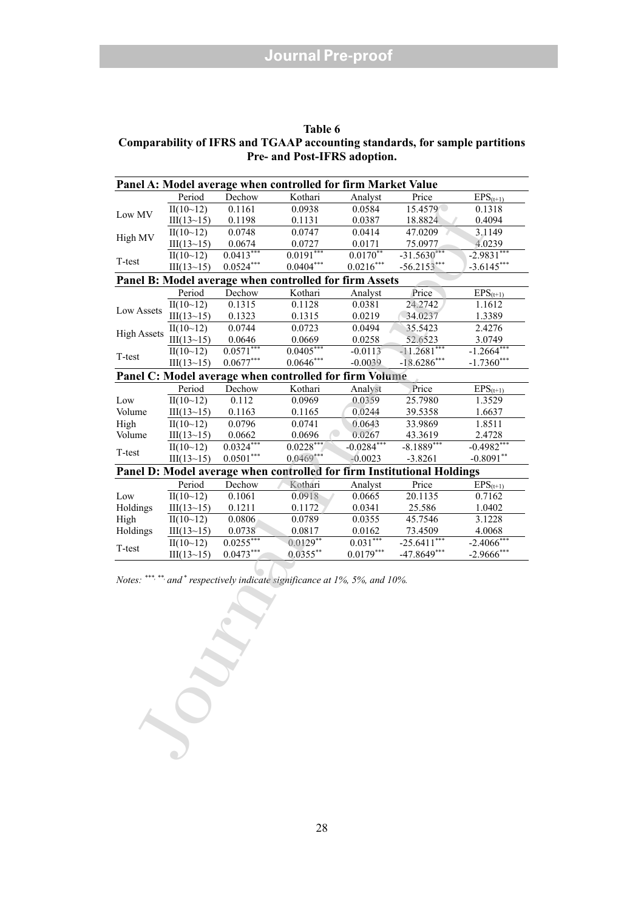| Table 6                                                                     |
|-----------------------------------------------------------------------------|
| Comparability of IFRS and TGAAP accounting standards, for sample partitions |
| <b>Pre- and Post-IFRS adoption.</b>                                         |

| Panel A: Model average when controlled for firm Market Value           |            |             |                                                        |                          |                           |               |  |
|------------------------------------------------------------------------|------------|-------------|--------------------------------------------------------|--------------------------|---------------------------|---------------|--|
|                                                                        | Period     | Dechow      | Kothari                                                | Analyst                  | Price                     | $EPS_{(t+1)}$ |  |
|                                                                        | II(10~12)  | 0.1161      | 0.0938                                                 | 0.0584                   | 15.4579                   | 0.1318        |  |
| Low MV                                                                 | III(13~15) | 0.1198      | 0.1131                                                 | 0.0387                   | 18.8824                   | 0.4094        |  |
| High MV                                                                | II(10~12)  | 0.0748      | 0.0747                                                 | 0.0414                   | 47.0209                   | 3.1149        |  |
|                                                                        | III(13~15) | 0.0674      | 0.0727                                                 | 0.0171                   | 75.0977                   | 4.0239        |  |
| T-test                                                                 | II(10~12)  | $0.0413***$ | $0.0191***$                                            | $0.01\overline{70^{**}}$ | $-31.5630***$             | $-2.9831***$  |  |
|                                                                        | III(13~15) | $0.0524***$ | $0.0404***$                                            | $0.0216^{\ast\ast\ast}$  | $-56.2153***$             | $-3.6145***$  |  |
|                                                                        |            |             | Panel B: Model average when controlled for firm Assets |                          |                           |               |  |
|                                                                        | Period     | Dechow      | Kothari                                                | Analyst                  | Price                     | $EPS_{(t+1)}$ |  |
| Low Assets                                                             | II(10~12)  | 0.1315      | 0.1128                                                 | 0.0381                   | 24.2742                   | 1.1612        |  |
|                                                                        | III(13~15) | 0.1323      | 0.1315                                                 | 0.0219                   | 34.0237                   | 1.3389        |  |
|                                                                        | II(10~12)  | 0.0744      | 0.0723                                                 | 0.0494                   | 35.5423                   | 2.4276        |  |
| <b>High Assets</b>                                                     | III(13~15) | 0.0646      | 0.0669                                                 | 0.0258                   | 52.6523                   | 3.0749        |  |
| T-test                                                                 | II(10~12)  | $0.0571***$ | $0.0405***$                                            | $-0.0113$                | $-11.2681***$             | $-1.2664***$  |  |
|                                                                        | III(13~15) | $0.0677***$ | $0.0646***$                                            | $-0.0039$                | $-18.6286***$             | $-1.7360***$  |  |
| Panel C: Model average when controlled for firm Volume                 |            |             |                                                        |                          |                           |               |  |
|                                                                        | Period     | Dechow      | Kothari                                                | Analyst                  | Price                     | $EPS_{(t+1)}$ |  |
| Low                                                                    | II(10~12)  | 0.112       | 0.0969                                                 | 0.0359                   | 25.7980                   | 1.3529        |  |
| Volume                                                                 | III(13~15) | 0.1163      | 0.1165                                                 | 0.0244                   | 39.5358                   | 1.6637        |  |
| High                                                                   | II(10~12)  | 0.0796      | 0.0741                                                 | 0.0643                   | 33.9869                   | 1.8511        |  |
| Volume                                                                 | III(13~15) | 0.0662      | 0.0696                                                 | 0.0267                   | 43.3619                   | 2.4728        |  |
| T-test                                                                 | II(10~12)  | $0.0324***$ | $0.0228***$                                            | $-0.0284***$             | $-8.1889***$              | $-0.4982***$  |  |
|                                                                        | III(13~15) | $0.0501***$ | $0.0469***$                                            | $-0.0023$                | $-3.8261$                 | $-0.8091**$   |  |
| Panel D: Model average when controlled for firm Institutional Holdings |            |             |                                                        |                          |                           |               |  |
|                                                                        | Period     | Dechow      | Kothari                                                | Analyst                  | Price                     | $EPS_{(t+1)}$ |  |
| Low                                                                    | II(10~12)  | 0.1061      | 0.0918                                                 | 0.0665                   | 20.1135                   | 0.7162        |  |
| Holdings                                                               | III(13~15) | 0.1211      | 0.1172                                                 | 0.0341                   | 25.586                    | 1.0402        |  |
| High                                                                   | II(10~12)  | 0.0806      | 0.0789                                                 | 0.0355                   | 45.7546                   | 3.1228        |  |
| Holdings                                                               | III(13~15) | 0.0738      | 0.0817                                                 | 0.0162                   | 73.4509                   | 4.0068        |  |
| T-test                                                                 | II(10~12)  | $0.0255***$ | $0.0129**$                                             | $0.031***$               | $-25.6\overline{411}$ *** | $-2.4066$ *** |  |
|                                                                        | III(13~15) | $0.0473***$ | $0.0355***$                                            | $0.0179***$              | $-47.8649***$             | $-2.9666$ *** |  |

*Notes:* \*\*\*, \*\*, and \* respectively indicate significance at 1%, 5%, and 10%.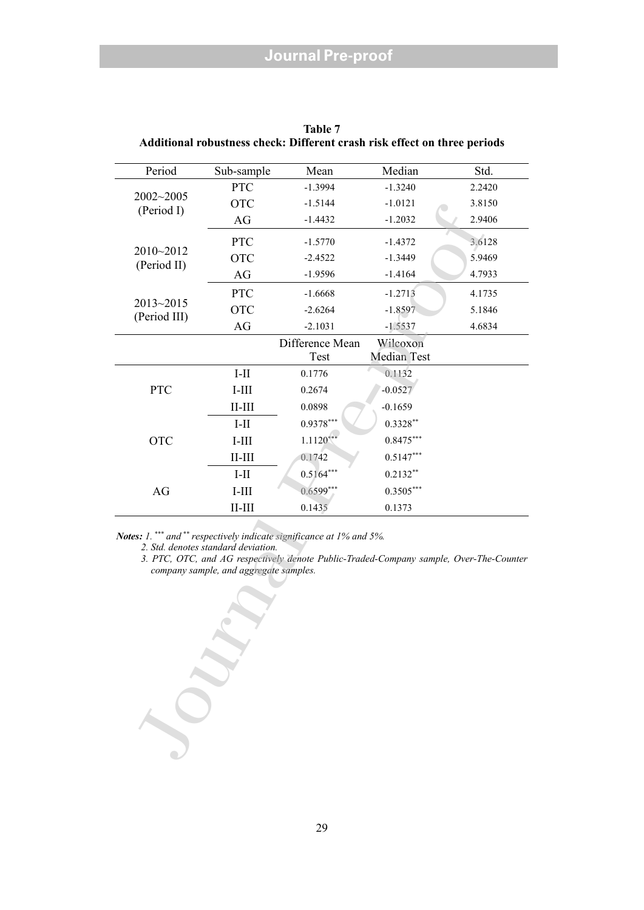| Period                    | Sub-sample                                                                    | Mean                                                                                                                                                            | Median                  | Std.   |
|---------------------------|-------------------------------------------------------------------------------|-----------------------------------------------------------------------------------------------------------------------------------------------------------------|-------------------------|--------|
|                           | <b>PTC</b>                                                                    | $-1.3994$                                                                                                                                                       | $-1.3240$               | 2.2420 |
| 2002~2005<br>(Period I)   | <b>OTC</b>                                                                    | $-1.5144$                                                                                                                                                       | $-1.0121$               | 3.8150 |
|                           | AG                                                                            | $-1.4432$                                                                                                                                                       | $-1.2032$               | 2.9406 |
|                           | <b>PTC</b>                                                                    | $-1.5770$                                                                                                                                                       | $-1.4372$               | 3.6128 |
| 2010~2012<br>(Period II)  | <b>OTC</b>                                                                    | $-2.4522$                                                                                                                                                       | $-1.3449$               | 5.9469 |
|                           | AG                                                                            | $-1.9596$                                                                                                                                                       | $-1.4164$               | 4.7933 |
|                           | <b>PTC</b>                                                                    | $-1.6668$                                                                                                                                                       | $-1.2713$               | 4.1735 |
| 2013~2015<br>(Period III) | <b>OTC</b>                                                                    | $-2.6264$                                                                                                                                                       | $-1.8597$               | 5.1846 |
|                           | AG                                                                            | $-2.1031$                                                                                                                                                       | $-1.5537$               | 4.6834 |
|                           |                                                                               | Difference Mean<br>Test                                                                                                                                         | Wilcoxon<br>Median Test |        |
|                           | $I-II$                                                                        | 0.1776                                                                                                                                                          | 0.1132                  |        |
| PTC                       | $I-III$                                                                       | 0.2674                                                                                                                                                          | $-0.0527$               |        |
|                           | $II$ - $III$                                                                  | 0.0898                                                                                                                                                          | $-0.1659$               |        |
|                           | $I-II$                                                                        | 0.9378***                                                                                                                                                       | $0.3328**$              |        |
| <b>OTC</b>                | $I-III$                                                                       | $1.1120***$                                                                                                                                                     | $0.8475***$             |        |
|                           | $II$ - $III$                                                                  | 0.1742                                                                                                                                                          | $0.5147***$             |        |
|                           | $I-II$                                                                        | $0.5164***$                                                                                                                                                     | $0.2132**$              |        |
| AG                        | $I-III$                                                                       | $0.6599**$                                                                                                                                                      | $0.3505***$             |        |
|                           | $II$ - $III$                                                                  | 0.1435                                                                                                                                                          | 0.1373                  |        |
|                           | 2. Std. denotes standard deviation.<br>company sample, and aggregate samples. | Notes: 1. *** and ** respectively indicate significance at 1% and 5%.<br>3. PTC, OTC, and AG respectively denote Public-Traded-Company sample, Over-The-Counter |                         |        |
|                           |                                                                               |                                                                                                                                                                 |                         |        |

**Table 7 Additional robustness check: Different crash risk effect on three periods**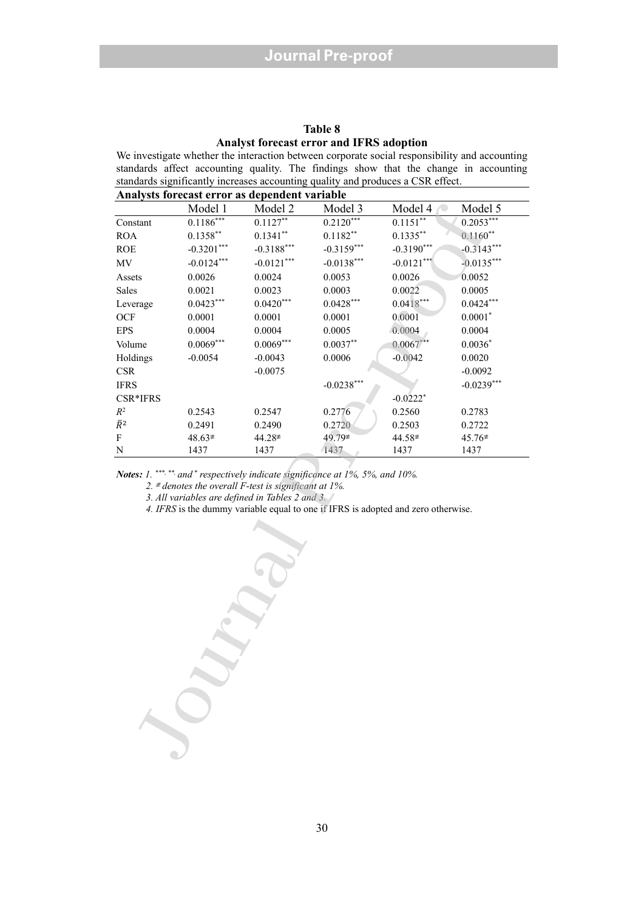#### **Table 8 Analyst forecast error and IFRS adoption**

We investigate whether the interaction between corporate social responsibility and accounting standards affect accounting quality. The findings show that the change in accounting standards significantly increases accounting quality and produces a CSR effect.

| Model 1<br>Model 2<br>Model 4<br>Model 5<br>Model 3<br>$0.1186***$<br>$0.2120***$<br>$0.2053***$<br>$0.1127**$<br>0.1151<br>Constant<br>$0.1358***$<br>$0.1341**$<br>$0.1182**$<br>$0.1335***$<br>$0.1160**$<br><b>ROA</b><br>$-0.3201***$<br>$-0.3188***$<br>$-0.3159***$<br>$\rm ROE$<br>$-0.3190***$<br>$-0.3143***$<br>$-0.0124***$<br>$-0.0138***$<br>MV<br>$-0.0121***$<br>$-0.0121***$<br>$-0.0135***$<br>0.0026<br>0.0052<br>0.0026<br>0.0024<br>0.0053<br>Assets<br>0.0021<br>0.0023<br>0.0003<br>0.0022<br>0.0005<br>Sales<br>$0.0423***$<br>$0.0420***$<br>$0.0428***$<br>$0.0418***$<br>$0.0424***$<br>Leverage<br>OCF<br>0.0001<br>0.0001<br>0.0001<br>0.0001<br>$0.0001*$<br>0.0004<br><b>EPS</b><br>0.0004<br>0.0004<br>0.0005<br>0.0004<br>$0.0069***$<br>$0.0069***$<br>$0.0037**$<br>0.0067<br>$0.0036*$<br>Volume<br>Holdings<br>$-0.0054$<br>$-0.0043$<br>0.0006<br>$-0.0042$<br>0.0020<br>$\ensuremath{\mathsf{CSR}}$<br>$-0.0075$<br>$-0.0092$<br>$-0.0239***$<br><b>IFRS</b><br>$-0.0238***$<br>CSR*IFRS<br>$-0.0222$ <sup>*</sup><br>$\mathbb{R}^2$<br>0.2543<br>0.2547<br>0.2776<br>0.2560<br>0.2783<br>$\bar{R}^2$<br>0.2720<br>0.2491<br>0.2490<br>0.2503<br>0.2722<br>${\bf F}$<br>49.79≢<br>44.58≢<br>$48.63*$<br>44.28≢<br>45.76≢<br>${\bf N}$<br>1437<br>1437<br>1437<br>1437<br>1437<br>Notes: 1. ***, **, and * respectively indicate significance at 1%, 5%, and 10%.<br>2. $\neq$ denotes the overall F-test is significant at 1%.<br>3. All variables are defined in Tables 2 and 3.<br>4. IFRS is the dummy variable equal to one if IFRS is adopted and zero otherwise. | Analysts forecast error as dependent variable |  |  |  |  |  |  |  |  |
|---------------------------------------------------------------------------------------------------------------------------------------------------------------------------------------------------------------------------------------------------------------------------------------------------------------------------------------------------------------------------------------------------------------------------------------------------------------------------------------------------------------------------------------------------------------------------------------------------------------------------------------------------------------------------------------------------------------------------------------------------------------------------------------------------------------------------------------------------------------------------------------------------------------------------------------------------------------------------------------------------------------------------------------------------------------------------------------------------------------------------------------------------------------------------------------------------------------------------------------------------------------------------------------------------------------------------------------------------------------------------------------------------------------------------------------------------------------------------------------------------------------------------------------------------------------------------------------------------------------|-----------------------------------------------|--|--|--|--|--|--|--|--|
|                                                                                                                                                                                                                                                                                                                                                                                                                                                                                                                                                                                                                                                                                                                                                                                                                                                                                                                                                                                                                                                                                                                                                                                                                                                                                                                                                                                                                                                                                                                                                                                                               |                                               |  |  |  |  |  |  |  |  |
|                                                                                                                                                                                                                                                                                                                                                                                                                                                                                                                                                                                                                                                                                                                                                                                                                                                                                                                                                                                                                                                                                                                                                                                                                                                                                                                                                                                                                                                                                                                                                                                                               |                                               |  |  |  |  |  |  |  |  |
|                                                                                                                                                                                                                                                                                                                                                                                                                                                                                                                                                                                                                                                                                                                                                                                                                                                                                                                                                                                                                                                                                                                                                                                                                                                                                                                                                                                                                                                                                                                                                                                                               |                                               |  |  |  |  |  |  |  |  |
|                                                                                                                                                                                                                                                                                                                                                                                                                                                                                                                                                                                                                                                                                                                                                                                                                                                                                                                                                                                                                                                                                                                                                                                                                                                                                                                                                                                                                                                                                                                                                                                                               |                                               |  |  |  |  |  |  |  |  |
|                                                                                                                                                                                                                                                                                                                                                                                                                                                                                                                                                                                                                                                                                                                                                                                                                                                                                                                                                                                                                                                                                                                                                                                                                                                                                                                                                                                                                                                                                                                                                                                                               |                                               |  |  |  |  |  |  |  |  |
|                                                                                                                                                                                                                                                                                                                                                                                                                                                                                                                                                                                                                                                                                                                                                                                                                                                                                                                                                                                                                                                                                                                                                                                                                                                                                                                                                                                                                                                                                                                                                                                                               |                                               |  |  |  |  |  |  |  |  |
|                                                                                                                                                                                                                                                                                                                                                                                                                                                                                                                                                                                                                                                                                                                                                                                                                                                                                                                                                                                                                                                                                                                                                                                                                                                                                                                                                                                                                                                                                                                                                                                                               |                                               |  |  |  |  |  |  |  |  |
|                                                                                                                                                                                                                                                                                                                                                                                                                                                                                                                                                                                                                                                                                                                                                                                                                                                                                                                                                                                                                                                                                                                                                                                                                                                                                                                                                                                                                                                                                                                                                                                                               |                                               |  |  |  |  |  |  |  |  |
|                                                                                                                                                                                                                                                                                                                                                                                                                                                                                                                                                                                                                                                                                                                                                                                                                                                                                                                                                                                                                                                                                                                                                                                                                                                                                                                                                                                                                                                                                                                                                                                                               |                                               |  |  |  |  |  |  |  |  |
|                                                                                                                                                                                                                                                                                                                                                                                                                                                                                                                                                                                                                                                                                                                                                                                                                                                                                                                                                                                                                                                                                                                                                                                                                                                                                                                                                                                                                                                                                                                                                                                                               |                                               |  |  |  |  |  |  |  |  |
|                                                                                                                                                                                                                                                                                                                                                                                                                                                                                                                                                                                                                                                                                                                                                                                                                                                                                                                                                                                                                                                                                                                                                                                                                                                                                                                                                                                                                                                                                                                                                                                                               |                                               |  |  |  |  |  |  |  |  |
|                                                                                                                                                                                                                                                                                                                                                                                                                                                                                                                                                                                                                                                                                                                                                                                                                                                                                                                                                                                                                                                                                                                                                                                                                                                                                                                                                                                                                                                                                                                                                                                                               |                                               |  |  |  |  |  |  |  |  |
|                                                                                                                                                                                                                                                                                                                                                                                                                                                                                                                                                                                                                                                                                                                                                                                                                                                                                                                                                                                                                                                                                                                                                                                                                                                                                                                                                                                                                                                                                                                                                                                                               |                                               |  |  |  |  |  |  |  |  |
|                                                                                                                                                                                                                                                                                                                                                                                                                                                                                                                                                                                                                                                                                                                                                                                                                                                                                                                                                                                                                                                                                                                                                                                                                                                                                                                                                                                                                                                                                                                                                                                                               |                                               |  |  |  |  |  |  |  |  |
|                                                                                                                                                                                                                                                                                                                                                                                                                                                                                                                                                                                                                                                                                                                                                                                                                                                                                                                                                                                                                                                                                                                                                                                                                                                                                                                                                                                                                                                                                                                                                                                                               |                                               |  |  |  |  |  |  |  |  |
|                                                                                                                                                                                                                                                                                                                                                                                                                                                                                                                                                                                                                                                                                                                                                                                                                                                                                                                                                                                                                                                                                                                                                                                                                                                                                                                                                                                                                                                                                                                                                                                                               |                                               |  |  |  |  |  |  |  |  |
|                                                                                                                                                                                                                                                                                                                                                                                                                                                                                                                                                                                                                                                                                                                                                                                                                                                                                                                                                                                                                                                                                                                                                                                                                                                                                                                                                                                                                                                                                                                                                                                                               |                                               |  |  |  |  |  |  |  |  |
|                                                                                                                                                                                                                                                                                                                                                                                                                                                                                                                                                                                                                                                                                                                                                                                                                                                                                                                                                                                                                                                                                                                                                                                                                                                                                                                                                                                                                                                                                                                                                                                                               |                                               |  |  |  |  |  |  |  |  |
|                                                                                                                                                                                                                                                                                                                                                                                                                                                                                                                                                                                                                                                                                                                                                                                                                                                                                                                                                                                                                                                                                                                                                                                                                                                                                                                                                                                                                                                                                                                                                                                                               |                                               |  |  |  |  |  |  |  |  |
|                                                                                                                                                                                                                                                                                                                                                                                                                                                                                                                                                                                                                                                                                                                                                                                                                                                                                                                                                                                                                                                                                                                                                                                                                                                                                                                                                                                                                                                                                                                                                                                                               |                                               |  |  |  |  |  |  |  |  |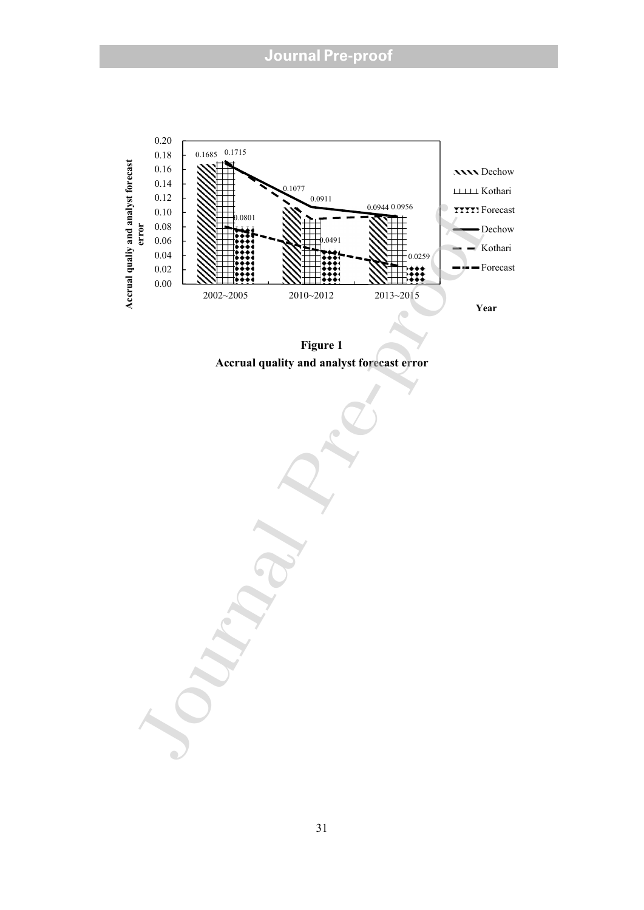## **Journal Pre-proof**



**Figure 1 Accrual quality and analyst forecast error**